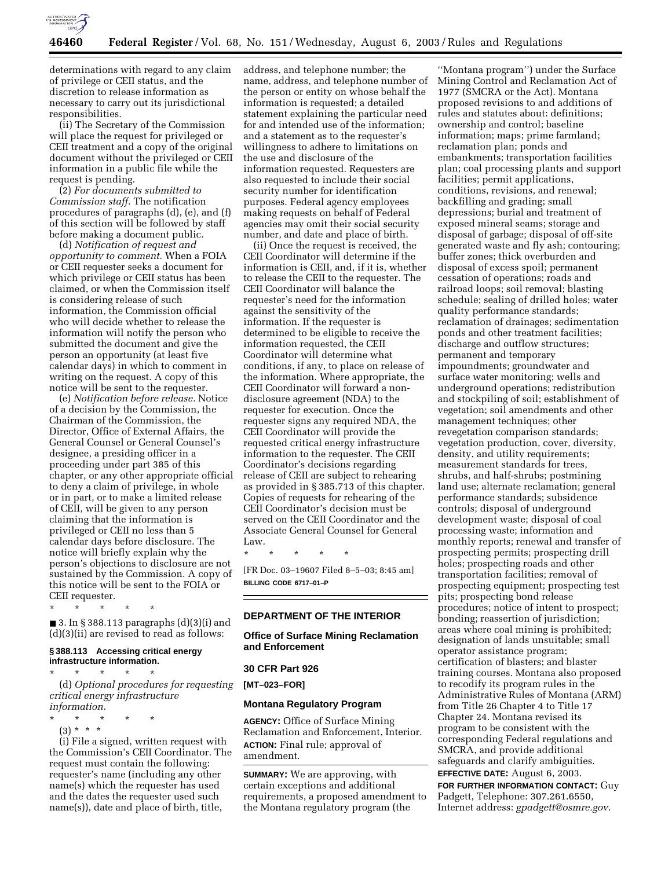

determinations with regard to any claim of privilege or CEII status, and the discretion to release information as necessary to carry out its jurisdictional responsibilities.

(ii) The Secretary of the Commission will place the request for privileged or CEII treatment and a copy of the original document without the privileged or CEII information in a public file while the request is pending.

(2) *For documents submitted to Commission staff.* The notification procedures of paragraphs (d), (e), and (f) of this section will be followed by staff before making a document public.

(d) *Notification of request and opportunity to comment.* When a FOIA or CEII requester seeks a document for which privilege or CEII status has been claimed, or when the Commission itself is considering release of such information, the Commission official who will decide whether to release the information will notify the person who submitted the document and give the person an opportunity (at least five calendar days) in which to comment in writing on the request. A copy of this notice will be sent to the requester.

(e) *Notification before release.* Notice of a decision by the Commission, the Chairman of the Commission, the Director, Office of External Affairs, the General Counsel or General Counsel's designee, a presiding officer in a proceeding under part 385 of this chapter, or any other appropriate official to deny a claim of privilege, in whole or in part, or to make a limited release of CEII, will be given to any person claiming that the information is privileged or CEII no less than 5 calendar days before disclosure. The notice will briefly explain why the person's objections to disclosure are not sustained by the Commission. A copy of this notice will be sent to the FOIA or CEII requester.

\* \* \* \* \* ■ 3. In § 388.113 paragraphs  $(d)(3)(i)$  and (d)(3)(ii) are revised to read as follows:

## **§ 388.113 Accessing critical energy infrastructure information.**

\* \* \* \* \* (d) *Optional procedures for requesting critical energy infrastructure information.*

- \* \* \* \* \*
	- (3) \* \* \*

(i) File a signed, written request with the Commission's CEII Coordinator. The request must contain the following: requester's name (including any other name(s) which the requester has used and the dates the requester used such name(s)), date and place of birth, title,

address, and telephone number; the name, address, and telephone number of the person or entity on whose behalf the information is requested; a detailed statement explaining the particular need for and intended use of the information; and a statement as to the requester's willingness to adhere to limitations on the use and disclosure of the information requested. Requesters are also requested to include their social security number for identification purposes. Federal agency employees making requests on behalf of Federal agencies may omit their social security number, and date and place of birth.

(ii) Once the request is received, the CEII Coordinator will determine if the information is CEII, and, if it is, whether to release the CEII to the requester. The CEII Coordinator will balance the requester's need for the information against the sensitivity of the information. If the requester is determined to be eligible to receive the information requested, the CEII Coordinator will determine what conditions, if any, to place on release of the information. Where appropriate, the CEII Coordinator will forward a nondisclosure agreement (NDA) to the requester for execution. Once the requester signs any required NDA, the CEII Coordinator will provide the requested critical energy infrastructure information to the requester. The CEII Coordinator's decisions regarding release of CEII are subject to rehearing as provided in § 385.713 of this chapter. Copies of requests for rehearing of the CEII Coordinator's decision must be served on the CEII Coordinator and the Associate General Counsel for General Law.

\* \* \* \* \* [FR Doc. 03–19607 Filed 8–5–03; 8:45 am]

**BILLING CODE 6717–01–P**

# **DEPARTMENT OF THE INTERIOR**

### **Office of Surface Mining Reclamation and Enforcement**

#### **30 CFR Part 926**

**[MT–023–FOR]** 

#### **Montana Regulatory Program**

**AGENCY:** Office of Surface Mining Reclamation and Enforcement, Interior. **ACTION:** Final rule; approval of amendment.

**SUMMARY:** We are approving, with certain exceptions and additional requirements, a proposed amendment to the Montana regulatory program (the

''Montana program'') under the Surface Mining Control and Reclamation Act of 1977 (SMCRA or the Act). Montana proposed revisions to and additions of rules and statutes about: definitions; ownership and control; baseline information; maps; prime farmland; reclamation plan; ponds and embankments; transportation facilities plan; coal processing plants and support facilities; permit applications, conditions, revisions, and renewal; backfilling and grading; small depressions; burial and treatment of exposed mineral seams; storage and disposal of garbage; disposal of off-site generated waste and fly ash; contouring; buffer zones; thick overburden and disposal of excess spoil; permanent cessation of operations; roads and railroad loops; soil removal; blasting schedule; sealing of drilled holes; water quality performance standards; reclamation of drainages; sedimentation ponds and other treatment facilities; discharge and outflow structures; permanent and temporary impoundments; groundwater and surface water monitoring; wells and underground operations; redistribution and stockpiling of soil; establishment of vegetation; soil amendments and other management techniques; other revegetation comparison standards; vegetation production, cover, diversity, density, and utility requirements; measurement standards for trees, shrubs, and half-shrubs; postmining land use; alternate reclamation; general performance standards; subsidence controls; disposal of underground development waste; disposal of coal processing waste; information and monthly reports; renewal and transfer of prospecting permits; prospecting drill holes; prospecting roads and other transportation facilities; removal of prospecting equipment; prospecting test pits; prospecting bond release procedures; notice of intent to prospect; bonding; reassertion of jurisdiction; areas where coal mining is prohibited; designation of lands unsuitable; small operator assistance program; certification of blasters; and blaster training courses. Montana also proposed to recodify its program rules in the Administrative Rules of Montana (ARM) from Title 26 Chapter 4 to Title 17 Chapter 24. Montana revised its program to be consistent with the corresponding Federal regulations and SMCRA, and provide additional safeguards and clarify ambiguities. **EFFECTIVE DATE:** August 6, 2003.

**FOR FURTHER INFORMATION CONTACT:** Guy Padgett, Telephone: 307.261.6550, Internet address: *gpadgett@osmre.gov*.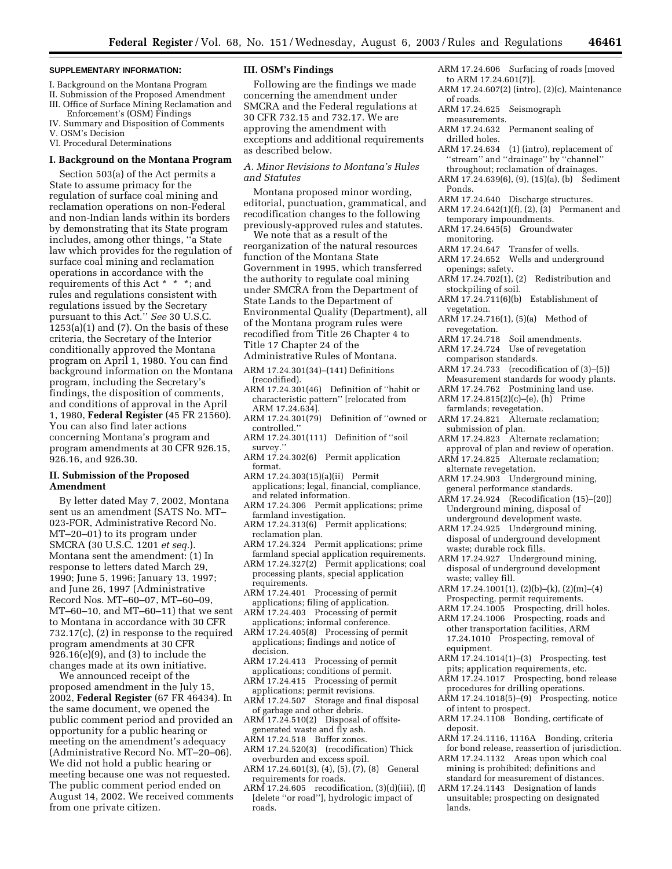#### **SUPPLEMENTARY INFORMATION:**

- I. Background on the Montana Program
- II. Submission of the Proposed Amendment
- III. Office of Surface Mining Reclamation and
- Enforcement's (OSM) Findings
- IV. Summary and Disposition of Comments
- V. OSM's Decision

VI. Procedural Determinations

#### **I. Background on the Montana Program**

Section 503(a) of the Act permits a State to assume primacy for the regulation of surface coal mining and reclamation operations on non-Federal and non-Indian lands within its borders by demonstrating that its State program includes, among other things, ''a State law which provides for the regulation of surface coal mining and reclamation operations in accordance with the requirements of this Act \* \* \*; and rules and regulations consistent with regulations issued by the Secretary pursuant to this Act.'' *See* 30 U.S.C.  $1253(a)(1)$  and  $(7)$ . On the basis of these criteria, the Secretary of the Interior conditionally approved the Montana program on April 1, 1980. You can find background information on the Montana program, including the Secretary's findings, the disposition of comments, and conditions of approval in the April 1, 1980, **Federal Register** (45 FR 21560). You can also find later actions concerning Montana's program and program amendments at 30 CFR 926.15, 926.16, and 926.30.

#### **II. Submission of the Proposed Amendment**

By letter dated May 7, 2002, Montana sent us an amendment (SATS No. MT– 023-FOR, Administrative Record No. MT–20–01) to its program under SMCRA (30 U.S.C. 1201 *et seq.*). Montana sent the amendment: (1) In response to letters dated March 29, 1990; June 5, 1996; January 13, 1997; and June 26, 1997 (Administrative Record Nos. MT–60–07, MT–60–09, MT–60–10, and MT–60–11) that we sent to Montana in accordance with 30 CFR 732.17(c), (2) in response to the required program amendments at 30 CFR 926.16(e)(9), and (3) to include the changes made at its own initiative.

We announced receipt of the proposed amendment in the July 15, 2002, **Federal Register** (67 FR 46434). In the same document, we opened the public comment period and provided an opportunity for a public hearing or meeting on the amendment's adequacy (Administrative Record No. MT–20–06). We did not hold a public hearing or meeting because one was not requested. The public comment period ended on August 14, 2002. We received comments from one private citizen.

#### **III. OSM's Findings**

Following are the findings we made concerning the amendment under SMCRA and the Federal regulations at 30 CFR 732.15 and 732.17. We are approving the amendment with exceptions and additional requirements as described below.

#### *A. Minor Revisions to Montana's Rules and Statutes*

Montana proposed minor wording, editorial, punctuation, grammatical, and recodification changes to the following previously-approved rules and statutes.

We note that as a result of the reorganization of the natural resources function of the Montana State Government in 1995, which transferred the authority to regulate coal mining under SMCRA from the Department of State Lands to the Department of Environmental Quality (Department), all of the Montana program rules were recodified from Title 26 Chapter 4 to Title 17 Chapter 24 of the

- Administrative Rules of Montana.
- ARM 17.24.301(34)–(141) Definitions (recodified).
- ARM 17.24.301(46) Definition of ''habit or characteristic pattern'' [relocated from ARM 17.24.634].
- ARM 17.24.301(79) Definition of ''owned or controlled.''
- ARM 17.24.301(111) Definition of ''soil survey.''
- ARM 17.24.302(6) Permit application format.
- ARM 17.24.303(15)(a)(ii) Permit applications; legal, financial, compliance, and related information.
- ARM 17.24.306 Permit applications; prime farmland investigation.
- ARM 17.24.313(6) Permit applications; reclamation plan.
- ARM 17.24.324 Permit applications; prime farmland special application requirements.
- ARM 17.24.327(2) Permit applications; coal processing plants, special application requirements.
- ARM 17.24.401 Processing of permit applications; filing of application.
- ARM 17.24.403 Processing of permit applications; informal conference.
- ARM 17.24.405(8) Processing of permit applications; findings and notice of decision.
- ARM 17.24.413 Processing of permit applications; conditions of permit.
- ARM 17.24.415 Processing of permit applications; permit revisions.
- ARM 17.24.507 Storage and final disposal of garbage and other debris.
- ARM 17.24.510(2) Disposal of offsitegenerated waste and fly ash. ARM 17.24.518 Buffer zones.
- ARM 17.24.520(3) (recodification) Thick overburden and excess spoil.
- ARM 17.24.601(3), (4), (5), (7), (8) General requirements for roads.
- ARM 17.24.605 recodification, (3)(d)(iii), (f) [delete ''or road''], hydrologic impact of roads.
- ARM 17.24.606 Surfacing of roads [moved to ARM 17.24.601(7)].
- ARM 17.24.607(2) (intro), (2)(c), Maintenance of roads.
- ARM 17.24.625 Seismograph measurements.
- ARM 17.24.632 Permanent sealing of
- drilled holes.
- ARM 17.24.634 (1) (intro), replacement of ''stream'' and ''drainage'' by ''channel'' throughout; reclamation of drainages.
- ARM 17.24.639(6), (9), (15)(a), (b) Sediment
- Ponds.
- ARM 17.24.640 Discharge structures.
- ARM 17.24.642(1)(f), (2), (3) Permanent and temporary impoundments.
- ARM 17.24.645(5) Groundwater monitoring.<br>ARM 17.24.647
- Transfer of wells.
- ARM 17.24.652 Wells and underground openings; safety.
- ARM 17.24.702(1), (2) Redistribution and stockpiling of soil.
- ARM 17.24.711(6)(b) Establishment of vegetation.
- ARM 17.24.716(1), (5)(a) Method of revegetation.
- ARM 17.24.718 Soil amendments.
- ARM 17.24.724 Use of revegetation comparison standards.
- ARM 17.24.733 (recodification of (3)–(5)) Measurement standards for woody plants.
- ARM 17.24.762 Postmining land use. ARM 17.24.815(2)(c)–(e), (h) Prime
- farmlands; revegetation. ARM 17.24.821 Alternate reclamation;
- submission of plan. ARM 17.24.823 Alternate reclamation;
- approval of plan and review of operation.
- ARM 17.24.825 Alternate reclamation; alternate revegetation.
- ARM 17.24.903 Underground mining, general performance standards.
- ARM 17.24.924 (Recodification (15)–(20)) Underground mining, disposal of underground development waste.
- ARM 17.24.925 Underground mining, disposal of underground development waste; durable rock fills.
- ARM 17.24.927 Underground mining, disposal of underground development waste; valley fill.
- ARM 17.24.1001(1), (2)(b)–(k), (2)(m)–(4) Prospecting, permit requirements.
- ARM 17.24.1005 Prospecting, drill holes.
- ARM 17.24.1006 Prospecting, roads and other transportation facilities, ARM 17.24.1010 Prospecting, removal of equipment.
- ARM 17.24.1014(1)–(3) Prospecting, test pits; application requirements, etc.
- ARM 17.24.1017 Prospecting, bond release procedures for drilling operations.
- $A\overline{R}M$  17.24.1018(5)–(9) Prospecting, notice of intent to prospect.
- ARM 17.24.1108 Bonding, certificate of deposit.
- ARM 17.24.1116, 1116A Bonding, criteria for bond release, reassertion of jurisdiction.
- ARM 17.24.1132 Areas upon which coal mining is prohibited; definitions and standard for measurement of distances.

ARM 17.24.1143 Designation of lands unsuitable; prospecting on designated lands.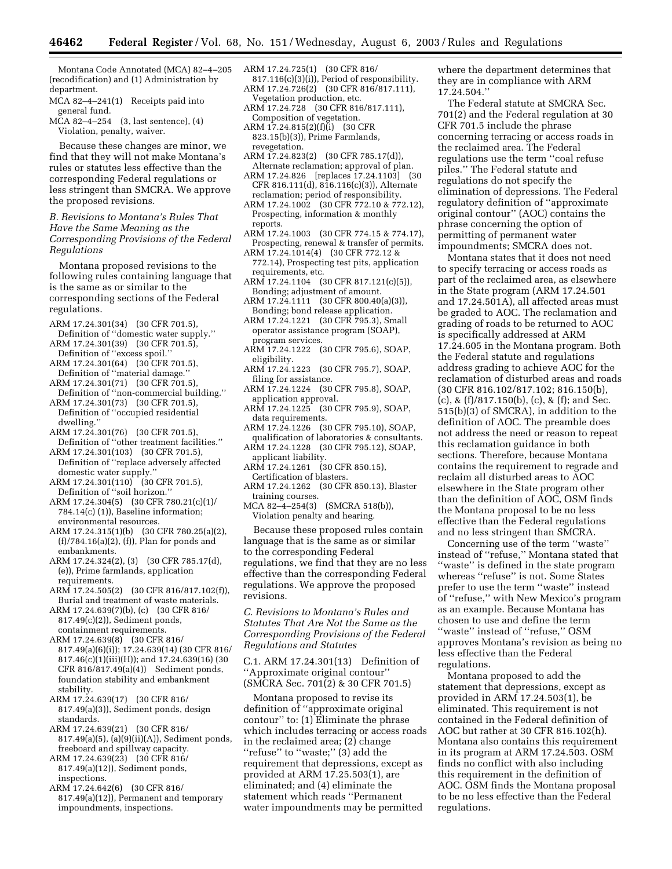Montana Code Annotated (MCA) 82–4–205 (recodification) and (1) Administration by department.

MCA 82–4–241(1) Receipts paid into general fund.<br>MCA 82–4–254

 $(3, last sentence), (4)$ Violation, penalty, waiver.

Because these changes are minor, we find that they will not make Montana's rules or statutes less effective than the corresponding Federal regulations or less stringent than SMCRA. We approve the proposed revisions.

*B. Revisions to Montana's Rules That Have the Same Meaning as the Corresponding Provisions of the Federal Regulations* 

Montana proposed revisions to the following rules containing language that is the same as or similar to the corresponding sections of the Federal regulations.

- ARM 17.24.301(34) (30 CFR 701.5),
- Definition of ''domestic water supply.'' ARM 17.24.301(39) (30 CFR 701.5),
- Definition of ''excess spoil.'' ARM 17.24.301(64) (30 CFR 701.5), Definition of ''material damage.''
- ARM 17.24.301(71) (30 CFR 701.5), Definition of ''non-commercial building.''
- ARM 17.24.301(73) (30 CFR 701.5), Definition of ''occupied residential dwelling.''
- ARM 17.24.301(76) (30 CFR 701.5), Definition of ''other treatment facilities.''
- ARM 17.24.301(103) (30 CFR 701.5), Definition of ''replace adversely affected domestic water supply.''
- ARM 17.24.301(110) (30 CFR 701.5), Definition of ''soil horizon.''
- ARM 17.24.304(5) (30 CFR 780.21(c)(1)/ 784.14(c) (1)), Baseline information; environmental resources.
- ARM 17.24.315(1)(b) (30 CFR 780.25(a)(2), (f)/784.16(a)(2), (f)), Plan for ponds and embankments.
- ARM 17.24.324(2), (3) (30 CFR 785.17(d), (e)), Prime farmlands, application requirements.
- ARM 17.24.505(2) (30 CFR 816/817.102(f)), Burial and treatment of waste materials.
- ARM 17.24.639(7)(b), (c) (30 CFR 816/ 817.49(c)(2)), Sediment ponds, containment requirements.
- ARM 17.24.639(8) (30 CFR 816/ 817.49(a)(6)(i)); 17.24.639(14) (30 CFR 816/ 817.46(c)(1)(iii)(H)); and 17.24.639(16) (30 CFR 816/817.49(a)(4)) Sediment ponds, foundation stability and embankment stability.
- ARM 17.24.639(17) (30 CFR 816/ 817.49(a)(3)), Sediment ponds, design standards.
- ARM 17.24.639(21) (30 CFR 816/ 817.49(a)(5), (a)(9)(ii)(A)), Sediment ponds, freeboard and spillway capacity.
- ARM 17.24.639(23) (30 CFR 816/ 817.49(a)(12)), Sediment ponds, inspections.
- ARM 17.24.642(6) (30 CFR 816/ 817.49(a)(12)), Permanent and temporary impoundments, inspections.
- ARM 17.24.725(1) (30 CFR 816/
- 817.116(c)(3)(i)), Period of responsibility. ARM 17.24.726(2) (30 CFR 816/817.111), Vegetation production, etc.
- ARM 17.24.728 (30 CFR 816/817.111), Composition of vegetation.
- ARM  $17.24.815(2)(f)(i)$  (30 CFR 823.15(b)(3)), Prime Farmlands, revegetation.
- ARM 17.24.823(2) (30 CFR 785.17(d)), Alternate reclamation; approval of plan.
- ARM 17.24.826 [replaces 17.24.1103] (30  $CFR 816.111(d), 816.116(c)(3),$  Alternate reclamation; period of responsibility.
- ARM 17.24.1002 (30 CFR 772.10 & 772.12), Prospecting, information & monthly reports.
- ARM 17.24.1003 (30 CFR 774.15 & 774.17), Prospecting, renewal & transfer of permits.
- ARM 17.24.1014(4) (30 CFR 772.12 & 772.14), Prospecting test pits, application requirements, etc.
- ARM 17.24.1104 (30 CFR 817.121(c)(5)), Bonding; adjustment of amount.
- ARM 17.24.1111 (30 CFR 800.40(a)(3)), Bonding; bond release application.
- ARM 17.24.1221 (30 CFR 795.3), Small operator assistance program (SOAP), program services.
- ARM 17.24.1222 (30 CFR 795.6), SOAP, eligibility.
- ARM 17.24.1223 (30 CFR 795.7), SOAP, filing for assistance.
- ARM 17.24.1224 (30 CFR 795.8), SOAP, application approval.
- ARM 17.24.1225 (30 CFR 795.9), SOAP, data requirements.
- ARM 17.24.1226 (30 CFR 795.10), SOAP, qualification of laboratories & consultants. ARM 17.24.1228 (30 CFR 795.12), SOAP,
- applicant liability. ARM 17.24.1261 (30 CFR 850.15),
- Certification of blasters.
- ARM 17.24.1262 (30 CFR 850.13), Blaster training courses.
- MCA 82–4–254(3) (SMCRA 518(b)), Violation penalty and hearing.

Because these proposed rules contain language that is the same as or similar to the corresponding Federal regulations, we find that they are no less effective than the corresponding Federal regulations. We approve the proposed revisions.

*C. Revisions to Montana's Rules and Statutes That Are Not the Same as the Corresponding Provisions of the Federal Regulations and Statutes* 

C.1. ARM 17.24.301(13) Definition of ''Approximate original contour'' (SMCRA Sec. 701(2) & 30 CFR 701.5)

Montana proposed to revise its definition of ''approximate original contour'' to: (1) Eliminate the phrase which includes terracing or access roads in the reclaimed area; (2) change ''refuse'' to ''waste;'' (3) add the requirement that depressions, except as provided at ARM 17.25.503(1), are eliminated; and (4) eliminate the statement which reads ''Permanent water impoundments may be permitted

where the department determines that they are in compliance with ARM 17.24.504.''

The Federal statute at SMCRA Sec. 701(2) and the Federal regulation at 30 CFR 701.5 include the phrase concerning terracing or access roads in the reclaimed area. The Federal regulations use the term ''coal refuse piles.'' The Federal statute and regulations do not specify the elimination of depressions. The Federal regulatory definition of ''approximate original contour'' (AOC) contains the phrase concerning the option of permitting of permanent water impoundments; SMCRA does not.

Montana states that it does not need to specify terracing or access roads as part of the reclaimed area, as elsewhere in the State program (ARM 17.24.501 and  $17.24.501\text{\AA}$ , all affected areas must be graded to AOC. The reclamation and grading of roads to be returned to AOC is specifically addressed at ARM 17.24.605 in the Montana program. Both the Federal statute and regulations address grading to achieve AOC for the reclamation of disturbed areas and roads (30 CFR 816.102/817.102; 816.150(b), (c), &  $(f)/817.150(b)$ , (c), &  $(f)$ ; and Sec. 515(b)(3) of SMCRA), in addition to the definition of AOC. The preamble does not address the need or reason to repeat this reclamation guidance in both sections. Therefore, because Montana contains the requirement to regrade and reclaim all disturbed areas to AOC elsewhere in the State program other than the definition of AOC, OSM finds the Montana proposal to be no less effective than the Federal regulations and no less stringent than SMCRA.

Concerning use of the term ''waste'' instead of ''refuse,'' Montana stated that ''waste'' is defined in the state program whereas ''refuse'' is not. Some States prefer to use the term ''waste'' instead of ''refuse,'' with New Mexico's program as an example. Because Montana has chosen to use and define the term ''waste'' instead of ''refuse,'' OSM approves Montana's revision as being no less effective than the Federal regulations.

Montana proposed to add the statement that depressions, except as provided in ARM 17.24.503(1), be eliminated. This requirement is not contained in the Federal definition of AOC but rather at 30 CFR 816.102(h). Montana also contains this requirement in its program at ARM 17.24.503. OSM finds no conflict with also including this requirement in the definition of AOC. OSM finds the Montana proposal to be no less effective than the Federal regulations.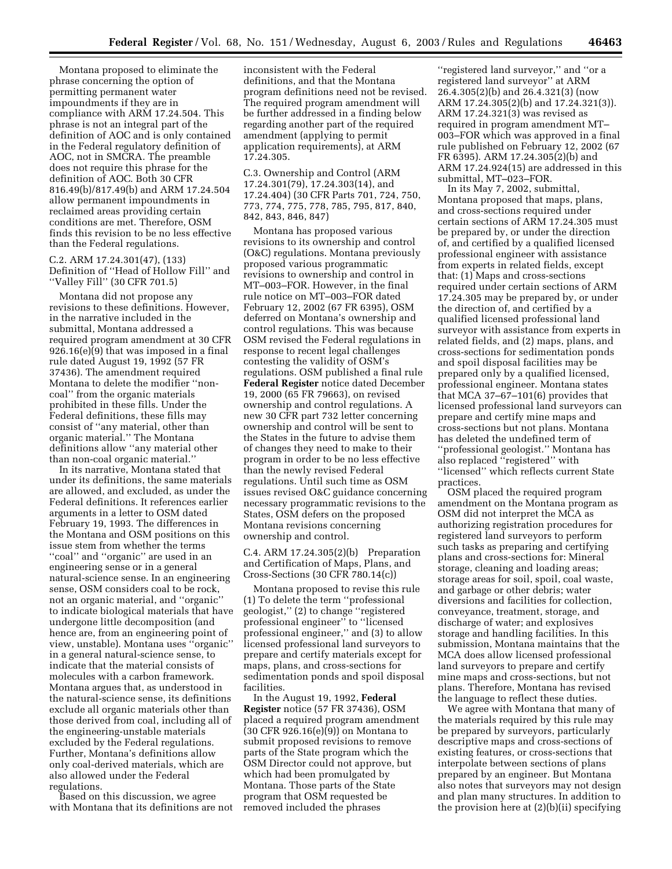Montana proposed to eliminate the phrase concerning the option of permitting permanent water impoundments if they are in compliance with ARM 17.24.504. This phrase is not an integral part of the definition of AOC and is only contained in the Federal regulatory definition of AOC, not in SMCRA. The preamble does not require this phrase for the definition of AOC. Both 30 CFR 816.49(b)/817.49(b) and ARM 17.24.504 allow permanent impoundments in reclaimed areas providing certain conditions are met. Therefore, OSM finds this revision to be no less effective than the Federal regulations.

C.2. ARM 17.24.301(47), (133) Definition of ''Head of Hollow Fill'' and ''Valley Fill'' (30 CFR 701.5)

Montana did not propose any revisions to these definitions. However, in the narrative included in the submittal, Montana addressed a required program amendment at 30 CFR 926.16(e)(9) that was imposed in a final rule dated August 19, 1992 (57 FR 37436). The amendment required Montana to delete the modifier ''noncoal'' from the organic materials prohibited in these fills. Under the Federal definitions, these fills may consist of ''any material, other than organic material.'' The Montana definitions allow ''any material other than non-coal organic material.''

In its narrative, Montana stated that under its definitions, the same materials are allowed, and excluded, as under the Federal definitions. It references earlier arguments in a letter to OSM dated February 19, 1993. The differences in the Montana and OSM positions on this issue stem from whether the terms ''coal'' and ''organic'' are used in an engineering sense or in a general natural-science sense. In an engineering sense, OSM considers coal to be rock, not an organic material, and ''organic'' to indicate biological materials that have undergone little decomposition (and hence are, from an engineering point of view, unstable). Montana uses ''organic'' in a general natural-science sense, to indicate that the material consists of molecules with a carbon framework. Montana argues that, as understood in the natural-science sense, its definitions exclude all organic materials other than those derived from coal, including all of the engineering-unstable materials excluded by the Federal regulations. Further, Montana's definitions allow only coal-derived materials, which are also allowed under the Federal regulations.

Based on this discussion, we agree with Montana that its definitions are not inconsistent with the Federal definitions, and that the Montana program definitions need not be revised. The required program amendment will be further addressed in a finding below regarding another part of the required amendment (applying to permit application requirements), at ARM 17.24.305.

C.3. Ownership and Control (ARM 17.24.301(79), 17.24.303(14), and 17.24.404) (30 CFR Parts 701, 724, 750, 773, 774, 775, 778, 785, 795, 817, 840, 842, 843, 846, 847)

Montana has proposed various revisions to its ownership and control (O&C) regulations. Montana previously proposed various programmatic revisions to ownership and control in MT–003–FOR. However, in the final rule notice on MT–003–FOR dated February 12, 2002 (67 FR 6395), OSM deferred on Montana's ownership and control regulations. This was because OSM revised the Federal regulations in response to recent legal challenges contesting the validity of OSM's regulations. OSM published a final rule **Federal Register** notice dated December 19, 2000 (65 FR 79663), on revised ownership and control regulations. A new 30 CFR part 732 letter concerning ownership and control will be sent to the States in the future to advise them of changes they need to make to their program in order to be no less effective than the newly revised Federal regulations. Until such time as OSM issues revised O&C guidance concerning necessary programmatic revisions to the States, OSM defers on the proposed Montana revisions concerning ownership and control.

C.4. ARM 17.24.305(2)(b) Preparation and Certification of Maps, Plans, and Cross-Sections (30 CFR 780.14(c))

Montana proposed to revise this rule (1) To delete the term ''professional geologist,'' (2) to change ''registered professional engineer'' to ''licensed professional engineer,'' and (3) to allow licensed professional land surveyors to prepare and certify materials except for maps, plans, and cross-sections for sedimentation ponds and spoil disposal facilities.

In the August 19, 1992, **Federal Register** notice (57 FR 37436), OSM placed a required program amendment (30 CFR 926.16(e)(9)) on Montana to submit proposed revisions to remove parts of the State program which the OSM Director could not approve, but which had been promulgated by Montana. Those parts of the State program that OSM requested be removed included the phrases

''registered land surveyor,'' and ''or a registered land surveyor'' at ARM 26.4.305(2)(b) and 26.4.321(3) (now ARM 17.24.305(2)(b) and 17.24.321(3)). ARM 17.24.321(3) was revised as required in program amendment MT– 003–FOR which was approved in a final rule published on February 12, 2002 (67 FR 6395). ARM 17.24.305(2)(b) and ARM 17.24.924(15) are addressed in this submittal, MT–023–FOR.

In its May 7, 2002, submittal, Montana proposed that maps, plans, and cross-sections required under certain sections of ARM 17.24.305 must be prepared by, or under the direction of, and certified by a qualified licensed professional engineer with assistance from experts in related fields, except that: (1) Maps and cross-sections required under certain sections of ARM 17.24.305 may be prepared by, or under the direction of, and certified by a qualified licensed professional land surveyor with assistance from experts in related fields, and (2) maps, plans, and cross-sections for sedimentation ponds and spoil disposal facilities may be prepared only by a qualified licensed, professional engineer. Montana states that MCA 37–67–101(6) provides that licensed professional land surveyors can prepare and certify mine maps and cross-sections but not plans. Montana has deleted the undefined term of ''professional geologist.'' Montana has also replaced ''registered'' with ''licensed'' which reflects current State practices.

OSM placed the required program amendment on the Montana program as OSM did not interpret the MCA as authorizing registration procedures for registered land surveyors to perform such tasks as preparing and certifying plans and cross-sections for: Mineral storage, cleaning and loading areas; storage areas for soil, spoil, coal waste, and garbage or other debris; water diversions and facilities for collection, conveyance, treatment, storage, and discharge of water; and explosives storage and handling facilities. In this submission, Montana maintains that the MCA does allow licensed professional land surveyors to prepare and certify mine maps and cross-sections, but not plans. Therefore, Montana has revised the language to reflect these duties.

We agree with Montana that many of the materials required by this rule may be prepared by surveyors, particularly descriptive maps and cross-sections of existing features, or cross-sections that interpolate between sections of plans prepared by an engineer. But Montana also notes that surveyors may not design and plan many structures. In addition to the provision here at (2)(b)(ii) specifying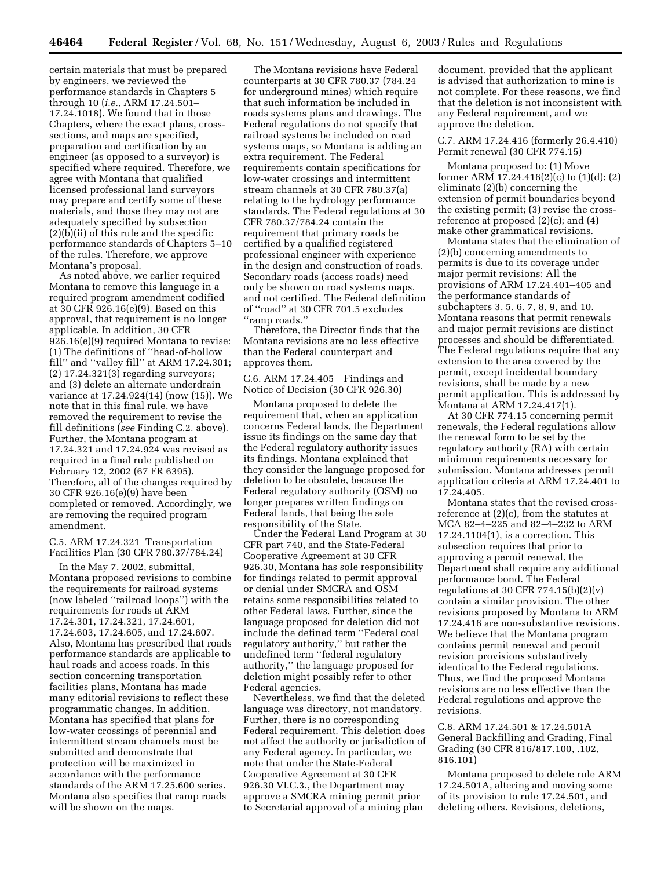certain materials that must be prepared by engineers, we reviewed the performance standards in Chapters 5 through 10 (*i.e.*, ARM 17.24.501– 17.24.1018). We found that in those Chapters, where the exact plans, crosssections, and maps are specified, preparation and certification by an engineer (as opposed to a surveyor) is specified where required. Therefore, we agree with Montana that qualified licensed professional land surveyors may prepare and certify some of these materials, and those they may not are adequately specified by subsection (2)(b)(ii) of this rule and the specific performance standards of Chapters 5–10 of the rules. Therefore, we approve Montana's proposal.

As noted above, we earlier required Montana to remove this language in a required program amendment codified at 30 CFR 926.16(e)(9). Based on this approval, that requirement is no longer applicable. In addition, 30 CFR 926.16(e)(9) required Montana to revise: (1) The definitions of ''head-of-hollow fill'' and ''valley fill'' at ARM 17.24.301; (2) 17.24.321(3) regarding surveyors; and (3) delete an alternate underdrain variance at 17.24.924(14) (now (15)). We note that in this final rule, we have removed the requirement to revise the fill definitions (*see* Finding C.2. above). Further, the Montana program at 17.24.321 and 17.24.924 was revised as required in a final rule published on February 12, 2002 (67 FR 6395). Therefore, all of the changes required by 30 CFR 926.16(e)(9) have been completed or removed. Accordingly, we are removing the required program amendment.

# C.5. ARM 17.24.321 Transportation Facilities Plan (30 CFR 780.37/784.24)

In the May 7, 2002, submittal, Montana proposed revisions to combine the requirements for railroad systems (now labeled ''railroad loops'') with the requirements for roads at ARM 17.24.301, 17.24.321, 17.24.601, 17.24.603, 17.24.605, and 17.24.607. Also, Montana has prescribed that roads performance standards are applicable to haul roads and access roads. In this section concerning transportation facilities plans, Montana has made many editorial revisions to reflect these programmatic changes. In addition, Montana has specified that plans for low-water crossings of perennial and intermittent stream channels must be submitted and demonstrate that protection will be maximized in accordance with the performance standards of the ARM 17.25.600 series. Montana also specifies that ramp roads will be shown on the maps.

The Montana revisions have Federal counterparts at 30 CFR 780.37 (784.24 for underground mines) which require that such information be included in roads systems plans and drawings. The Federal regulations do not specify that railroad systems be included on road systems maps, so Montana is adding an extra requirement. The Federal requirements contain specifications for low-water crossings and intermittent stream channels at 30 CFR 780.37(a) relating to the hydrology performance standards. The Federal regulations at 30 CFR 780.37/784.24 contain the requirement that primary roads be certified by a qualified registered professional engineer with experience in the design and construction of roads. Secondary roads (access roads) need only be shown on road systems maps, and not certified. The Federal definition of ''road'' at 30 CFR 701.5 excludes ''ramp roads.''

Therefore, the Director finds that the Montana revisions are no less effective than the Federal counterpart and approves them.

#### C.6. ARM 17.24.405 Findings and Notice of Decision (30 CFR 926.30)

Montana proposed to delete the requirement that, when an application concerns Federal lands, the Department issue its findings on the same day that the Federal regulatory authority issues its findings. Montana explained that they consider the language proposed for deletion to be obsolete, because the Federal regulatory authority (OSM) no longer prepares written findings on Federal lands, that being the sole responsibility of the State.

Under the Federal Land Program at 30 CFR part 740, and the State-Federal Cooperative Agreement at 30 CFR 926.30, Montana has sole responsibility for findings related to permit approval or denial under SMCRA and OSM retains some responsibilities related to other Federal laws. Further, since the language proposed for deletion did not include the defined term ''Federal coal regulatory authority,'' but rather the undefined term ''federal regulatory authority,'' the language proposed for deletion might possibly refer to other Federal agencies.

Nevertheless, we find that the deleted language was directory, not mandatory. Further, there is no corresponding Federal requirement. This deletion does not affect the authority or jurisdiction of any Federal agency. In particular, we note that under the State-Federal Cooperative Agreement at 30 CFR 926.30 VI.C.3., the Department may approve a SMCRA mining permit prior to Secretarial approval of a mining plan

document, provided that the applicant is advised that authorization to mine is not complete. For these reasons, we find that the deletion is not inconsistent with any Federal requirement, and we approve the deletion.

#### C.7. ARM 17.24.416 (formerly 26.4.410) Permit renewal (30 CFR 774.15)

Montana proposed to: (1) Move former ARM 17.24.416(2)(c) to (1)(d); (2) eliminate (2)(b) concerning the extension of permit boundaries beyond the existing permit; (3) revise the crossreference at proposed (2)(c); and (4) make other grammatical revisions.

Montana states that the elimination of (2)(b) concerning amendments to permits is due to its coverage under major permit revisions: All the provisions of ARM 17.24.401–405 and the performance standards of subchapters 3, 5, 6, 7, 8, 9, and 10. Montana reasons that permit renewals and major permit revisions are distinct processes and should be differentiated. The Federal regulations require that any extension to the area covered by the permit, except incidental boundary revisions, shall be made by a new permit application. This is addressed by Montana at ARM 17.24.417(1).

At 30 CFR 774.15 concerning permit renewals, the Federal regulations allow the renewal form to be set by the regulatory authority (RA) with certain minimum requirements necessary for submission. Montana addresses permit application criteria at ARM 17.24.401 to 17.24.405.

Montana states that the revised crossreference at (2)(c), from the statutes at MCA 82–4–225 and 82–4–232 to ARM 17.24.1104(1), is a correction. This subsection requires that prior to approving a permit renewal, the Department shall require any additional performance bond. The Federal regulations at 30 CFR 774.15 $(b)(2)(v)$ contain a similar provision. The other revisions proposed by Montana to ARM 17.24.416 are non-substantive revisions. We believe that the Montana program contains permit renewal and permit revision provisions substantively identical to the Federal regulations. Thus, we find the proposed Montana revisions are no less effective than the Federal regulations and approve the revisions.

C.8. ARM 17.24.501 & 17.24.501A General Backfilling and Grading, Final Grading (30 CFR 816/817.100, .102, 816.101)

Montana proposed to delete rule ARM 17.24.501A, altering and moving some of its provision to rule 17.24.501, and deleting others. Revisions, deletions,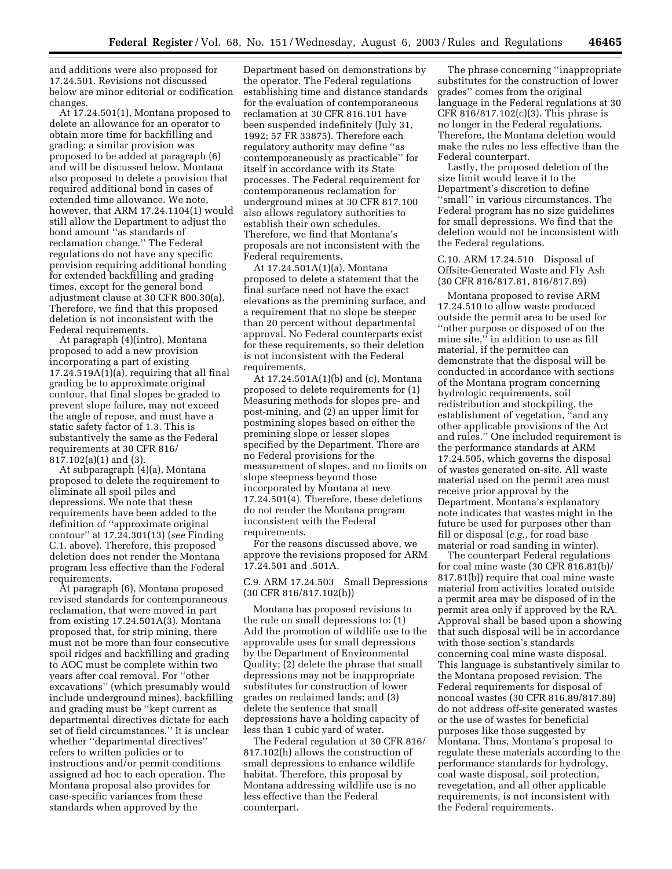and additions were also proposed for 17.24.501. Revisions not discussed below are minor editorial or codification changes.

At 17.24.501(1), Montana proposed to delete an allowance for an operator to obtain more time for backfilling and grading; a similar provision was proposed to be added at paragraph (6) and will be discussed below. Montana also proposed to delete a provision that required additional bond in cases of extended time allowance. We note, however, that ARM 17.24.1104(1) would still allow the Department to adjust the bond amount ''as standards of reclamation change.'' The Federal regulations do not have any specific provision requiring additional bonding for extended backfilling and grading times, except for the general bond adjustment clause at 30 CFR 800.30(a). Therefore, we find that this proposed deletion is not inconsistent with the Federal requirements.

At paragraph (4)(intro), Montana proposed to add a new provision incorporating a part of existing 17.24.519A(1)(a), requiring that all final grading be to approximate original contour, that final slopes be graded to prevent slope failure, may not exceed the angle of repose, and must have a static safety factor of 1.3. This is substantively the same as the Federal requirements at 30 CFR 816/ 817.102(a)(1) and (3).

At subparagraph (4)(a), Montana proposed to delete the requirement to eliminate all spoil piles and depressions. We note that these requirements have been added to the definition of ''approximate original contour'' at 17.24.301(13) (*see* Finding C.1. above). Therefore, this proposed deletion does not render the Montana program less effective than the Federal requirements.

At paragraph (6), Montana proposed revised standards for contemporaneous reclamation, that were moved in part from existing 17.24.501A(3). Montana proposed that, for strip mining, there must not be more than four consecutive spoil ridges and backfilling and grading to AOC must be complete within two years after coal removal. For ''other excavations'' (which presumably would include underground mines), backfilling and grading must be ''kept current as departmental directives dictate for each set of field circumstances.'' It is unclear whether ''departmental directives'' refers to written policies or to instructions and/or permit conditions assigned ad hoc to each operation. The Montana proposal also provides for case-specific variances from these standards when approved by the

Department based on demonstrations by the operator. The Federal regulations establishing time and distance standards for the evaluation of contemporaneous reclamation at 30 CFR 816.101 have been suspended indefinitely (July 31, 1992; 57 FR 33875). Therefore each regulatory authority may define ''as contemporaneously as practicable'' for itself in accordance with its State processes. The Federal requirement for contemporaneous reclamation for underground mines at 30 CFR 817.100 also allows regulatory authorities to establish their own schedules. Therefore, we find that Montana's proposals are not inconsistent with the Federal requirements.

At 17.24.501A(1)(a), Montana proposed to delete a statement that the final surface need not have the exact elevations as the premining surface, and a requirement that no slope be steeper than 20 percent without departmental approval. No Federal counterparts exist for these requirements, so their deletion is not inconsistent with the Federal requirements.

At 17.24.501A(1)(b) and (c), Montana proposed to delete requirements for (1) Measuring methods for slopes pre- and post-mining, and (2) an upper limit for postmining slopes based on either the premining slope or lesser slopes specified by the Department. There are no Federal provisions for the measurement of slopes, and no limits on slope steepness beyond those incorporated by Montana at new 17.24.501(4). Therefore, these deletions do not render the Montana program inconsistent with the Federal requirements.

For the reasons discussed above, we approve the revisions proposed for ARM 17.24.501 and .501A.

C.9. ARM 17.24.503 Small Depressions (30 CFR 816/817.102(h))

Montana has proposed revisions to the rule on small depressions to: (1) Add the promotion of wildlife use to the approvable uses for small depressions by the Department of Environmental Quality; (2) delete the phrase that small depressions may not be inappropriate substitutes for construction of lower grades on reclaimed lands; and (3) delete the sentence that small depressions have a holding capacity of less than 1 cubic yard of water.

The Federal regulation at 30 CFR 816/ 817.102(h) allows the construction of small depressions to enhance wildlife habitat. Therefore, this proposal by Montana addressing wildlife use is no less effective than the Federal counterpart.

The phrase concerning ''inappropriate substitutes for the construction of lower grades'' comes from the original language in the Federal regulations at 30 CFR  $816/817.102(c)(3)$ . This phrase is no longer in the Federal regulations. Therefore, the Montana deletion would make the rules no less effective than the Federal counterpart.

Lastly, the proposed deletion of the size limit would leave it to the Department's discretion to define ''small'' in various circumstances. The Federal program has no size guidelines for small depressions. We find that the deletion would not be inconsistent with the Federal regulations.

C.10. ARM 17.24.510 Disposal of Offsite-Generated Waste and Fly Ash (30 CFR 816/817.81, 816/817.89)

Montana proposed to revise ARM 17.24.510 to allow waste produced outside the permit area to be used for ''other purpose or disposed of on the mine site,'' in addition to use as fill material, if the permittee can demonstrate that the disposal will be conducted in accordance with sections of the Montana program concerning hydrologic requirements, soil redistribution and stockpiling, the establishment of vegetation, ''and any other applicable provisions of the Act and rules.'' One included requirement is the performance standards at ARM 17.24.505, which governs the disposal of wastes generated on-site. All waste material used on the permit area must receive prior approval by the Department. Montana's explanatory note indicates that wastes might in the future be used for purposes other than fill or disposal (*e.g.*, for road base material or road sanding in winter).

The counterpart Federal regulations for coal mine waste (30 CFR 816.81(b)/ 817.81(b)) require that coal mine waste material from activities located outside a permit area may be disposed of in the permit area only if approved by the RA. Approval shall be based upon a showing that such disposal will be in accordance with those section's standards concerning coal mine waste disposal. This language is substantively similar to the Montana proposed revision. The Federal requirements for disposal of noncoal wastes (30 CFR 816.89/817.89) do not address off-site generated wastes or the use of wastes for beneficial purposes like those suggested by Montana. Thus, Montana's proposal to regulate these materials according to the performance standards for hydrology, coal waste disposal, soil protection, revegetation, and all other applicable requirements, is not inconsistent with the Federal requirements.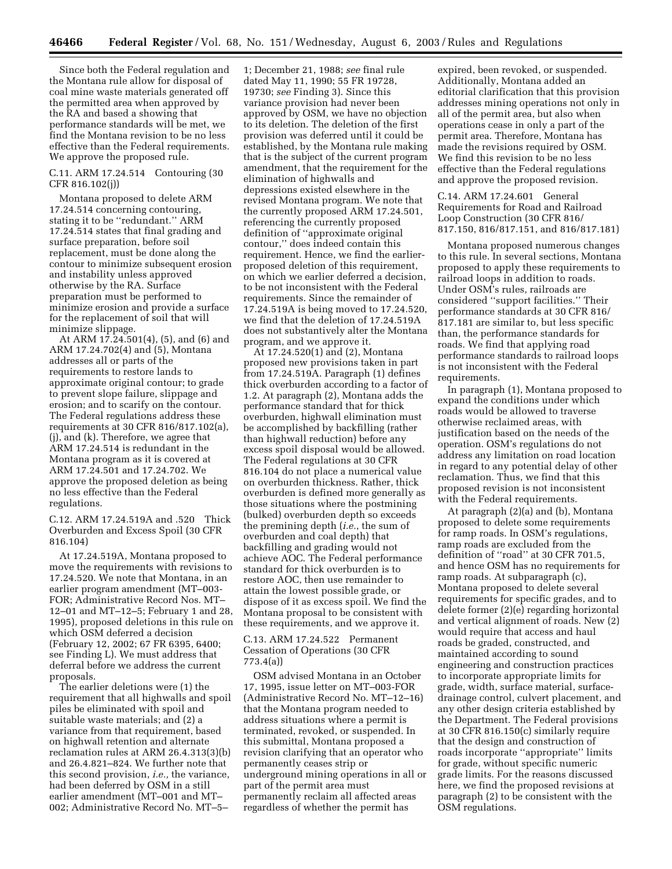Since both the Federal regulation and the Montana rule allow for disposal of coal mine waste materials generated off the permitted area when approved by the RA and based a showing that performance standards will be met, we find the Montana revision to be no less effective than the Federal requirements. We approve the proposed rule.

# C.11. ARM 17.24.514 Contouring (30 CFR 816.102(j))

Montana proposed to delete ARM 17.24.514 concerning contouring, stating it to be ''redundant.'' ARM 17.24.514 states that final grading and surface preparation, before soil replacement, must be done along the contour to minimize subsequent erosion and instability unless approved otherwise by the RA. Surface preparation must be performed to minimize erosion and provide a surface for the replacement of soil that will minimize slippage.

At ARM 17.24.501(4), (5), and (6) and ARM 17.24.702(4) and (5), Montana addresses all or parts of the requirements to restore lands to approximate original contour; to grade to prevent slope failure, slippage and erosion; and to scarify on the contour. The Federal regulations address these requirements at 30 CFR 816/817.102(a), (j), and (k). Therefore, we agree that ARM 17.24.514 is redundant in the Montana program as it is covered at ARM 17.24.501 and 17.24.702. We approve the proposed deletion as being no less effective than the Federal regulations.

C.12. ARM 17.24.519A and .520 Thick Overburden and Excess Spoil (30 CFR 816.104)

At 17.24.519A, Montana proposed to move the requirements with revisions to 17.24.520. We note that Montana, in an earlier program amendment (MT–003- FOR; Administrative Record Nos. MT– 12–01 and MT–12–5; February 1 and 28, 1995), proposed deletions in this rule on which OSM deferred a decision (February 12, 2002; 67 FR 6395, 6400; see Finding L). We must address that deferral before we address the current proposals.

The earlier deletions were (1) the requirement that all highwalls and spoil piles be eliminated with spoil and suitable waste materials; and (2) a variance from that requirement, based on highwall retention and alternate reclamation rules at ARM 26.4.313(3)(b) and 26.4.821–824. We further note that this second provision, *i.e.,* the variance, had been deferred by OSM in a still earlier amendment (MT–001 and MT– 002; Administrative Record No. MT–5–

1; December 21, 1988; *see* final rule dated May 11, 1990; 55 FR 19728, 19730; *see* Finding 3). Since this variance provision had never been approved by OSM, we have no objection to its deletion. The deletion of the first provision was deferred until it could be established, by the Montana rule making that is the subject of the current program amendment, that the requirement for the elimination of highwalls and depressions existed elsewhere in the revised Montana program. We note that the currently proposed ARM 17.24.501, referencing the currently proposed definition of ''approximate original contour,'' does indeed contain this requirement. Hence, we find the earlierproposed deletion of this requirement, on which we earlier deferred a decision, to be not inconsistent with the Federal requirements. Since the remainder of 17.24.519A is being moved to 17.24.520, we find that the deletion of 17.24.519A does not substantively alter the Montana program, and we approve it.

At 17.24.520(1) and (2), Montana proposed new provisions taken in part from 17.24.519A. Paragraph (1) defines thick overburden according to a factor of 1.2. At paragraph (2), Montana adds the performance standard that for thick overburden, highwall elimination must be accomplished by backfilling (rather than highwall reduction) before any excess spoil disposal would be allowed. The Federal regulations at 30 CFR 816.104 do not place a numerical value on overburden thickness. Rather, thick overburden is defined more generally as those situations where the postmining (bulked) overburden depth so exceeds the premining depth (*i.e.*, the sum of overburden and coal depth) that backfilling and grading would not achieve AOC. The Federal performance standard for thick overburden is to restore AOC, then use remainder to attain the lowest possible grade, or dispose of it as excess spoil. We find the Montana proposal to be consistent with these requirements, and we approve it.

# C.13. ARM 17.24.522 Permanent Cessation of Operations (30 CFR 773.4(a))

OSM advised Montana in an October 17, 1995, issue letter on MT–003-FOR (Administrative Record No. MT–12–16) that the Montana program needed to address situations where a permit is terminated, revoked, or suspended. In this submittal, Montana proposed a revision clarifying that an operator who permanently ceases strip or underground mining operations in all or part of the permit area must permanently reclaim all affected areas regardless of whether the permit has

expired, been revoked, or suspended. Additionally, Montana added an editorial clarification that this provision addresses mining operations not only in all of the permit area, but also when operations cease in only a part of the permit area. Therefore, Montana has made the revisions required by OSM. We find this revision to be no less effective than the Federal regulations and approve the proposed revision.

C.14. ARM 17.24.601 General Requirements for Road and Railroad Loop Construction (30 CFR 816/ 817.150, 816/817.151, and 816/817.181)

Montana proposed numerous changes to this rule. In several sections, Montana proposed to apply these requirements to railroad loops in addition to roads. Under OSM's rules, railroads are considered ''support facilities.'' Their performance standards at 30 CFR 816/ 817.181 are similar to, but less specific than, the performance standards for roads. We find that applying road performance standards to railroad loops is not inconsistent with the Federal requirements.

In paragraph (1), Montana proposed to expand the conditions under which roads would be allowed to traverse otherwise reclaimed areas, with justification based on the needs of the operation. OSM's regulations do not address any limitation on road location in regard to any potential delay of other reclamation. Thus, we find that this proposed revision is not inconsistent with the Federal requirements.

At paragraph (2)(a) and (b), Montana proposed to delete some requirements for ramp roads. In OSM's regulations, ramp roads are excluded from the definition of ''road'' at 30 CFR 701.5, and hence OSM has no requirements for ramp roads. At subparagraph (c), Montana proposed to delete several requirements for specific grades, and to delete former (2)(e) regarding horizontal and vertical alignment of roads. New (2) would require that access and haul roads be graded, constructed, and maintained according to sound engineering and construction practices to incorporate appropriate limits for grade, width, surface material, surfacedrainage control, culvert placement, and any other design criteria established by the Department. The Federal provisions at 30 CFR 816.150(c) similarly require that the design and construction of roads incorporate ''appropriate'' limits for grade, without specific numeric grade limits. For the reasons discussed here, we find the proposed revisions at paragraph (2) to be consistent with the OSM regulations.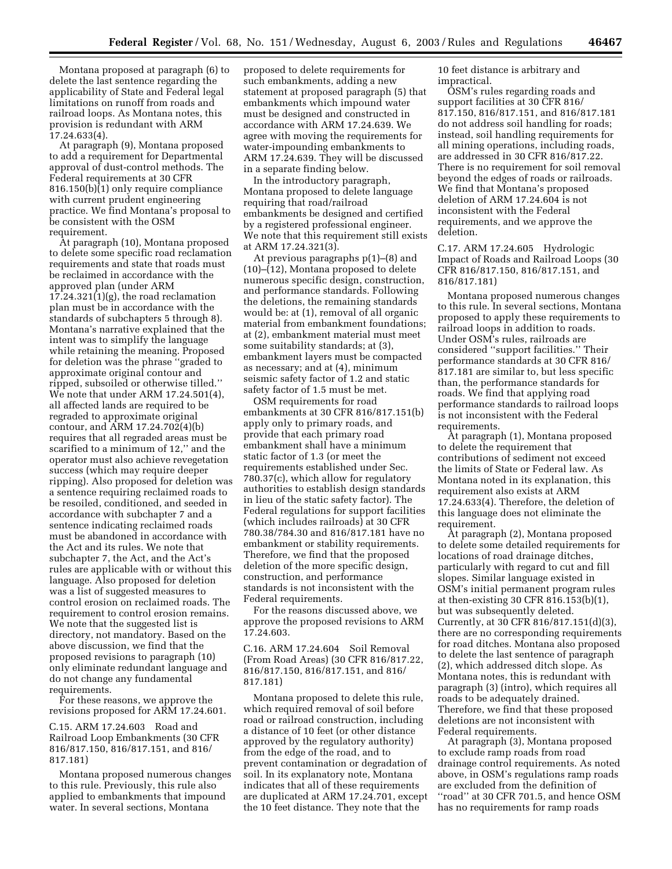Montana proposed at paragraph (6) to delete the last sentence regarding the applicability of State and Federal legal limitations on runoff from roads and railroad loops. As Montana notes, this provision is redundant with ARM 17.24.633(4).

At paragraph (9), Montana proposed to add a requirement for Departmental approval of dust-control methods. The Federal requirements at 30 CFR 816.150(b)(1) only require compliance with current prudent engineering practice. We find Montana's proposal to be consistent with the OSM requirement.

At paragraph (10), Montana proposed to delete some specific road reclamation requirements and state that roads must be reclaimed in accordance with the approved plan (under ARM 17.24.321(1)(g), the road reclamation plan must be in accordance with the standards of subchapters 5 through 8). Montana's narrative explained that the intent was to simplify the language while retaining the meaning. Proposed for deletion was the phrase ''graded to approximate original contour and ripped, subsoiled or otherwise tilled.'' We note that under ARM 17.24.501(4), all affected lands are required to be regraded to approximate original contour, and ARM 17.24.702(4)(b) requires that all regraded areas must be scarified to a minimum of 12,'' and the operator must also achieve revegetation success (which may require deeper ripping). Also proposed for deletion was a sentence requiring reclaimed roads to be resoiled, conditioned, and seeded in accordance with subchapter 7 and a sentence indicating reclaimed roads must be abandoned in accordance with the Act and its rules. We note that subchapter 7, the Act, and the Act's rules are applicable with or without this language. Also proposed for deletion was a list of suggested measures to control erosion on reclaimed roads. The requirement to control erosion remains. We note that the suggested list is directory, not mandatory. Based on the above discussion, we find that the proposed revisions to paragraph (10) only eliminate redundant language and do not change any fundamental requirements.

For these reasons, we approve the revisions proposed for ARM 17.24.601.

C.15. ARM 17.24.603 Road and Railroad Loop Embankments (30 CFR 816/817.150, 816/817.151, and 816/ 817.181)

Montana proposed numerous changes to this rule. Previously, this rule also applied to embankments that impound water. In several sections, Montana

proposed to delete requirements for such embankments, adding a new statement at proposed paragraph (5) that embankments which impound water must be designed and constructed in accordance with ARM 17.24.639. We agree with moving the requirements for water-impounding embankments to ARM 17.24.639. They will be discussed in a separate finding below.

In the introductory paragraph, Montana proposed to delete language requiring that road/railroad embankments be designed and certified by a registered professional engineer. We note that this requirement still exists at ARM 17.24.321(3).

At previous paragraphs p(1)–(8) and (10)–(12), Montana proposed to delete numerous specific design, construction, and performance standards. Following the deletions, the remaining standards would be: at (1), removal of all organic material from embankment foundations; at (2), embankment material must meet some suitability standards; at (3), embankment layers must be compacted as necessary; and at (4), minimum seismic safety factor of 1.2 and static safety factor of 1.5 must be met.

OSM requirements for road embankments at 30 CFR 816/817.151(b) apply only to primary roads, and provide that each primary road embankment shall have a minimum static factor of 1.3 (or meet the requirements established under Sec. 780.37(c), which allow for regulatory authorities to establish design standards in lieu of the static safety factor). The Federal regulations for support facilities (which includes railroads) at 30 CFR 780.38/784.30 and 816/817.181 have no embankment or stability requirements. Therefore, we find that the proposed deletion of the more specific design, construction, and performance standards is not inconsistent with the Federal requirements.

For the reasons discussed above, we approve the proposed revisions to ARM 17.24.603.

C.16. ARM 17.24.604 Soil Removal (From Road Areas) (30 CFR 816/817.22, 816/817.150, 816/817.151, and 816/ 817.181)

Montana proposed to delete this rule, which required removal of soil before road or railroad construction, including a distance of 10 feet (or other distance approved by the regulatory authority) from the edge of the road, and to prevent contamination or degradation of soil. In its explanatory note, Montana indicates that all of these requirements are duplicated at ARM 17.24.701, except the 10 feet distance. They note that the

10 feet distance is arbitrary and impractical.

OSM's rules regarding roads and support facilities at 30 CFR 816/ 817.150, 816/817.151, and 816/817.181 do not address soil handling for roads; instead, soil handling requirements for all mining operations, including roads, are addressed in 30 CFR 816/817.22. There is no requirement for soil removal beyond the edges of roads or railroads. We find that Montana's proposed deletion of ARM 17.24.604 is not inconsistent with the Federal requirements, and we approve the deletion.

C.17. ARM 17.24.605 Hydrologic Impact of Roads and Railroad Loops (30 CFR 816/817.150, 816/817.151, and 816/817.181)

Montana proposed numerous changes to this rule. In several sections, Montana proposed to apply these requirements to railroad loops in addition to roads. Under OSM's rules, railroads are considered ''support facilities.'' Their performance standards at 30 CFR 816/ 817.181 are similar to, but less specific than, the performance standards for roads. We find that applying road performance standards to railroad loops is not inconsistent with the Federal requirements.

At paragraph (1), Montana proposed to delete the requirement that contributions of sediment not exceed the limits of State or Federal law. As Montana noted in its explanation, this requirement also exists at ARM 17.24.633(4). Therefore, the deletion of this language does not eliminate the requirement.

At paragraph (2), Montana proposed to delete some detailed requirements for locations of road drainage ditches, particularly with regard to cut and fill slopes. Similar language existed in OSM's initial permanent program rules at then-existing 30 CFR 816.153(b)(1), but was subsequently deleted. Currently, at 30 CFR 816/817.151(d)(3), there are no corresponding requirements for road ditches. Montana also proposed to delete the last sentence of paragraph (2), which addressed ditch slope. As Montana notes, this is redundant with paragraph (3) (intro), which requires all roads to be adequately drained. Therefore, we find that these proposed deletions are not inconsistent with Federal requirements.

At paragraph (3), Montana proposed to exclude ramp roads from road drainage control requirements. As noted above, in OSM's regulations ramp roads are excluded from the definition of ''road'' at 30 CFR 701.5, and hence OSM has no requirements for ramp roads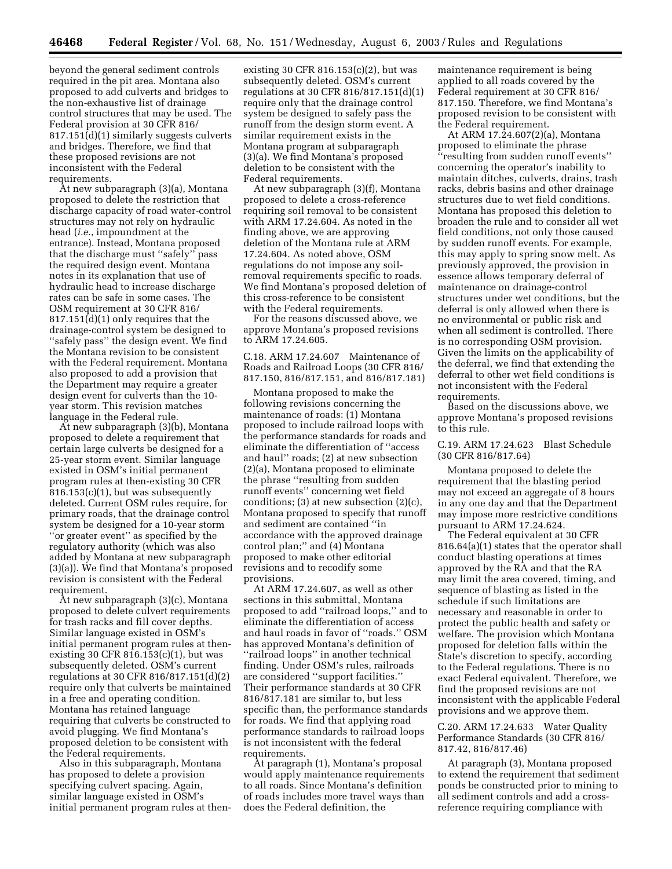beyond the general sediment controls required in the pit area. Montana also proposed to add culverts and bridges to the non-exhaustive list of drainage control structures that may be used. The Federal provision at 30 CFR 816/ 817.151(d)(1) similarly suggests culverts and bridges. Therefore, we find that these proposed revisions are not inconsistent with the Federal requirements.

At new subparagraph (3)(a), Montana proposed to delete the restriction that discharge capacity of road water-control structures may not rely on hydraulic head (*i.e.*, impoundment at the entrance). Instead, Montana proposed that the discharge must ''safely'' pass the required design event. Montana notes in its explanation that use of hydraulic head to increase discharge rates can be safe in some cases. The OSM requirement at 30 CFR 816/ 817.151(d)(1) only requires that the drainage-control system be designed to ''safely pass'' the design event. We find the Montana revision to be consistent with the Federal requirement. Montana also proposed to add a provision that the Department may require a greater design event for culverts than the 10 year storm. This revision matches language in the Federal rule.

At new subparagraph (3)(b), Montana proposed to delete a requirement that certain large culverts be designed for a 25-year storm event. Similar language existed in OSM's initial permanent program rules at then-existing 30 CFR 816.153(c)(1), but was subsequently deleted. Current OSM rules require, for primary roads, that the drainage control system be designed for a 10-year storm ''or greater event'' as specified by the regulatory authority (which was also added by Montana at new subparagraph (3)(a)). We find that Montana's proposed revision is consistent with the Federal requirement.

At new subparagraph (3)(c), Montana proposed to delete culvert requirements for trash racks and fill cover depths. Similar language existed in OSM's initial permanent program rules at thenexisting 30 CFR 816.153(c)(1), but was subsequently deleted. OSM's current regulations at 30 CFR 816/817.151(d)(2) require only that culverts be maintained in a free and operating condition. Montana has retained language requiring that culverts be constructed to avoid plugging. We find Montana's proposed deletion to be consistent with the Federal requirements.

Also in this subparagraph, Montana has proposed to delete a provision specifying culvert spacing. Again, similar language existed in OSM's initial permanent program rules at then-

existing 30 CFR  $816.153(c)(2)$ , but was subsequently deleted. OSM's current regulations at 30 CFR 816/817.151(d)(1) require only that the drainage control system be designed to safely pass the runoff from the design storm event. A similar requirement exists in the Montana program at subparagraph (3)(a). We find Montana's proposed deletion to be consistent with the Federal requirements.

At new subparagraph (3)(f), Montana proposed to delete a cross-reference requiring soil removal to be consistent with ARM 17.24.604. As noted in the finding above, we are approving deletion of the Montana rule at ARM 17.24.604. As noted above, OSM regulations do not impose any soilremoval requirements specific to roads. We find Montana's proposed deletion of this cross-reference to be consistent with the Federal requirements.

For the reasons discussed above, we approve Montana's proposed revisions to ARM 17.24.605.

C.18. ARM 17.24.607 Maintenance of Roads and Railroad Loops (30 CFR 816/ 817.150, 816/817.151, and 816/817.181)

Montana proposed to make the following revisions concerning the maintenance of roads: (1) Montana proposed to include railroad loops with the performance standards for roads and eliminate the differentiation of ''access and haul'' roads; (2) at new subsection (2)(a), Montana proposed to eliminate the phrase ''resulting from sudden runoff events'' concerning wet field conditions; (3) at new subsection (2)(c), Montana proposed to specify that runoff and sediment are contained ''in accordance with the approved drainage control plan;'' and (4) Montana proposed to make other editorial revisions and to recodify some provisions.

At ARM 17.24.607, as well as other sections in this submittal, Montana proposed to add ''railroad loops,'' and to eliminate the differentiation of access and haul roads in favor of ''roads.'' OSM has approved Montana's definition of ''railroad loops'' in another technical finding. Under OSM's rules, railroads are considered ''support facilities.'' Their performance standards at 30 CFR 816/817.181 are similar to, but less specific than, the performance standards for roads. We find that applying road performance standards to railroad loops is not inconsistent with the federal requirements.

At paragraph (1), Montana's proposal would apply maintenance requirements to all roads. Since Montana's definition of roads includes more travel ways than does the Federal definition, the

maintenance requirement is being applied to all roads covered by the Federal requirement at 30 CFR 816/ 817.150. Therefore, we find Montana's proposed revision to be consistent with the Federal requirement.

At ARM 17.24.607(2)(a), Montana proposed to eliminate the phrase ''resulting from sudden runoff events'' concerning the operator's inability to maintain ditches, culverts, drains, trash racks, debris basins and other drainage structures due to wet field conditions. Montana has proposed this deletion to broaden the rule and to consider all wet field conditions, not only those caused by sudden runoff events. For example, this may apply to spring snow melt. As previously approved, the provision in essence allows temporary deferral of maintenance on drainage-control structures under wet conditions, but the deferral is only allowed when there is no environmental or public risk and when all sediment is controlled. There is no corresponding OSM provision. Given the limits on the applicability of the deferral, we find that extending the deferral to other wet field conditions is not inconsistent with the Federal requirements.

Based on the discussions above, we approve Montana's proposed revisions to this rule.

C.19. ARM 17.24.623 Blast Schedule (30 CFR 816/817.64)

Montana proposed to delete the requirement that the blasting period may not exceed an aggregate of 8 hours in any one day and that the Department may impose more restrictive conditions pursuant to ARM 17.24.624.

The Federal equivalent at 30 CFR 816.64(a)(1) states that the operator shall conduct blasting operations at times approved by the RA and that the RA may limit the area covered, timing, and sequence of blasting as listed in the schedule if such limitations are necessary and reasonable in order to protect the public health and safety or welfare. The provision which Montana proposed for deletion falls within the State's discretion to specify, according to the Federal regulations. There is no exact Federal equivalent. Therefore, we find the proposed revisions are not inconsistent with the applicable Federal provisions and we approve them.

C.20. ARM 17.24.633 Water Quality Performance Standards (30 CFR 816/ 817.42, 816/817.46)

At paragraph (3), Montana proposed to extend the requirement that sediment ponds be constructed prior to mining to all sediment controls and add a crossreference requiring compliance with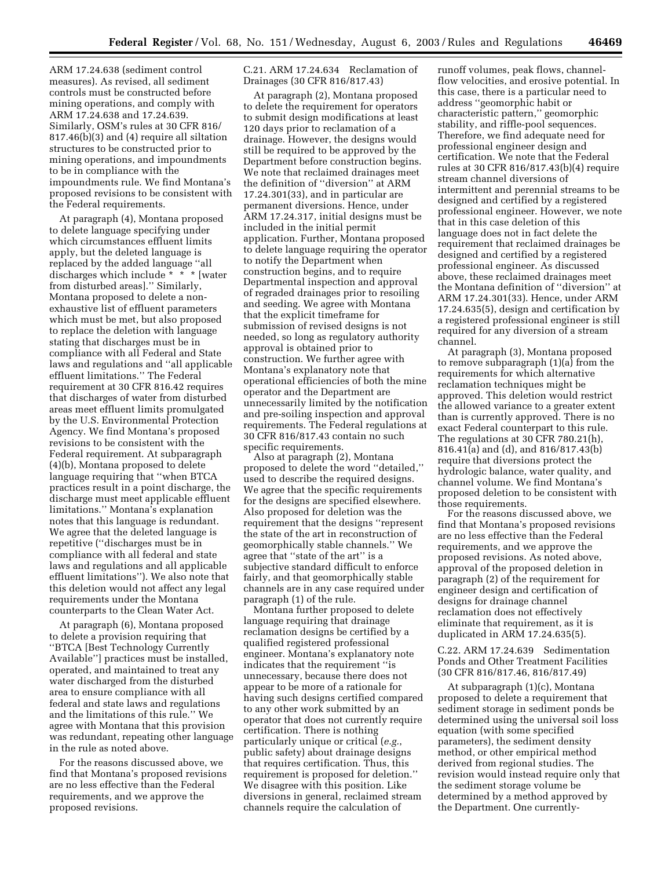ARM 17.24.638 (sediment control measures). As revised, all sediment controls must be constructed before mining operations, and comply with ARM 17.24.638 and 17.24.639. Similarly, OSM's rules at 30 CFR 816/ 817.46(b)(3) and (4) require all siltation structures to be constructed prior to mining operations, and impoundments to be in compliance with the impoundments rule. We find Montana's proposed revisions to be consistent with the Federal requirements.

At paragraph (4), Montana proposed to delete language specifying under which circumstances effluent limits apply, but the deleted language is replaced by the added language ''all discharges which include \* \* \* [water from disturbed areas].'' Similarly, Montana proposed to delete a nonexhaustive list of effluent parameters which must be met, but also proposed to replace the deletion with language stating that discharges must be in compliance with all Federal and State laws and regulations and ''all applicable effluent limitations.'' The Federal requirement at 30 CFR 816.42 requires that discharges of water from disturbed areas meet effluent limits promulgated by the U.S. Environmental Protection Agency. We find Montana's proposed revisions to be consistent with the Federal requirement. At subparagraph (4)(b), Montana proposed to delete language requiring that ''when BTCA practices result in a point discharge, the discharge must meet applicable effluent limitations.'' Montana's explanation notes that this language is redundant. We agree that the deleted language is repetitive (''discharges must be in compliance with all federal and state laws and regulations and all applicable effluent limitations''). We also note that this deletion would not affect any legal requirements under the Montana counterparts to the Clean Water Act.

At paragraph (6), Montana proposed to delete a provision requiring that ''BTCA [Best Technology Currently Available''] practices must be installed, operated, and maintained to treat any water discharged from the disturbed area to ensure compliance with all federal and state laws and regulations and the limitations of this rule.'' We agree with Montana that this provision was redundant, repeating other language in the rule as noted above.

For the reasons discussed above, we find that Montana's proposed revisions are no less effective than the Federal requirements, and we approve the proposed revisions.

C.21. ARM 17.24.634 Reclamation of Drainages (30 CFR 816/817.43)

At paragraph (2), Montana proposed to delete the requirement for operators to submit design modifications at least 120 days prior to reclamation of a drainage. However, the designs would still be required to be approved by the Department before construction begins. We note that reclaimed drainages meet the definition of ''diversion'' at ARM 17.24.301(33), and in particular are permanent diversions. Hence, under ARM 17.24.317, initial designs must be included in the initial permit application. Further, Montana proposed to delete language requiring the operator to notify the Department when construction begins, and to require Departmental inspection and approval of regraded drainages prior to resoiling and seeding. We agree with Montana that the explicit timeframe for submission of revised designs is not needed, so long as regulatory authority approval is obtained prior to construction. We further agree with Montana's explanatory note that operational efficiencies of both the mine operator and the Department are unnecessarily limited by the notification and pre-soiling inspection and approval requirements. The Federal regulations at 30 CFR 816/817.43 contain no such specific requirements.

Also at paragraph (2), Montana proposed to delete the word ''detailed,'' used to describe the required designs. We agree that the specific requirements for the designs are specified elsewhere. Also proposed for deletion was the requirement that the designs ''represent the state of the art in reconstruction of geomorphically stable channels.'' We agree that ''state of the art'' is a subjective standard difficult to enforce fairly, and that geomorphically stable channels are in any case required under paragraph (1) of the rule.

Montana further proposed to delete language requiring that drainage reclamation designs be certified by a qualified registered professional engineer. Montana's explanatory note indicates that the requirement ''is unnecessary, because there does not appear to be more of a rationale for having such designs certified compared to any other work submitted by an operator that does not currently require certification. There is nothing particularly unique or critical (*e.g.*, public safety) about drainage designs that requires certification. Thus, this requirement is proposed for deletion.'' We disagree with this position. Like diversions in general, reclaimed stream channels require the calculation of

runoff volumes, peak flows, channelflow velocities, and erosive potential. In this case, there is a particular need to address ''geomorphic habit or characteristic pattern,'' geomorphic stability, and riffle-pool sequences. Therefore, we find adequate need for professional engineer design and certification. We note that the Federal rules at 30 CFR 816/817.43(b)(4) require stream channel diversions of intermittent and perennial streams to be designed and certified by a registered professional engineer. However, we note that in this case deletion of this language does not in fact delete the requirement that reclaimed drainages be designed and certified by a registered professional engineer. As discussed above, these reclaimed drainages meet the Montana definition of ''diversion'' at ARM 17.24.301(33). Hence, under ARM 17.24.635(5), design and certification by a registered professional engineer is still required for any diversion of a stream channel.

At paragraph (3), Montana proposed to remove subparagraph (1)(a) from the requirements for which alternative reclamation techniques might be approved. This deletion would restrict the allowed variance to a greater extent than is currently approved. There is no exact Federal counterpart to this rule. The regulations at 30 CFR 780.21(h), 816.41(a) and (d), and 816/817.43(b) require that diversions protect the hydrologic balance, water quality, and channel volume. We find Montana's proposed deletion to be consistent with those requirements.

For the reasons discussed above, we find that Montana's proposed revisions are no less effective than the Federal requirements, and we approve the proposed revisions. As noted above, approval of the proposed deletion in paragraph (2) of the requirement for engineer design and certification of designs for drainage channel reclamation does not effectively eliminate that requirement, as it is duplicated in ARM 17.24.635(5).

C.22. ARM 17.24.639 Sedimentation Ponds and Other Treatment Facilities (30 CFR 816/817.46, 816/817.49)

At subparagraph (1)(c), Montana proposed to delete a requirement that sediment storage in sediment ponds be determined using the universal soil loss equation (with some specified parameters), the sediment density method, or other empirical method derived from regional studies. The revision would instead require only that the sediment storage volume be determined by a method approved by the Department. One currently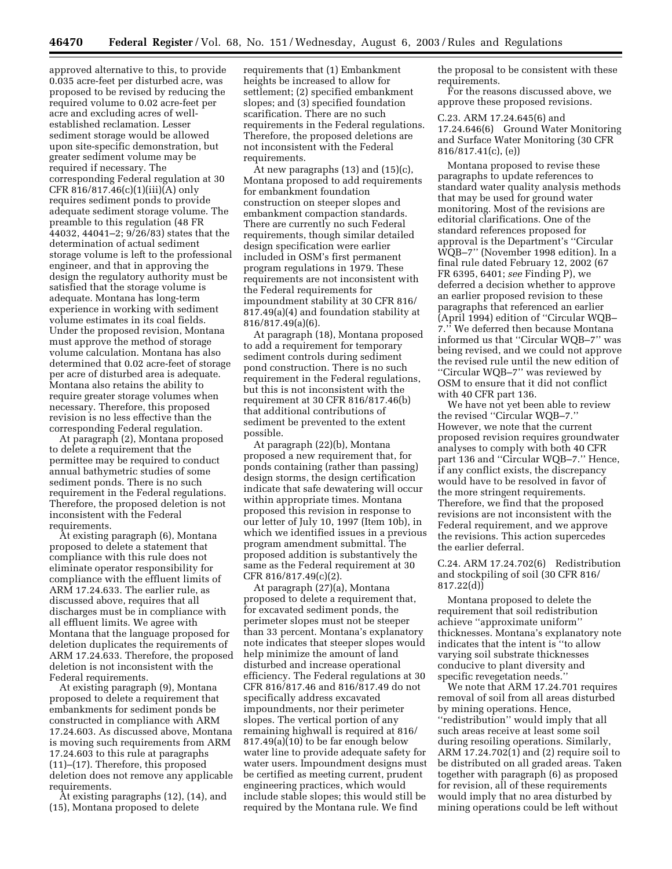approved alternative to this, to provide 0.035 acre-feet per disturbed acre, was proposed to be revised by reducing the required volume to 0.02 acre-feet per acre and excluding acres of wellestablished reclamation. Lesser sediment storage would be allowed upon site-specific demonstration, but greater sediment volume may be required if necessary. The corresponding Federal regulation at 30 CFR 816/817.46(c)(1)(iii)(A) only requires sediment ponds to provide adequate sediment storage volume. The preamble to this regulation (48 FR 44032, 44041–2; 9/26/83) states that the determination of actual sediment storage volume is left to the professional engineer, and that in approving the design the regulatory authority must be satisfied that the storage volume is adequate. Montana has long-term experience in working with sediment volume estimates in its coal fields. Under the proposed revision, Montana must approve the method of storage volume calculation. Montana has also determined that 0.02 acre-feet of storage per acre of disturbed area is adequate. Montana also retains the ability to require greater storage volumes when necessary. Therefore, this proposed revision is no less effective than the corresponding Federal regulation.

At paragraph (2), Montana proposed to delete a requirement that the permittee may be required to conduct annual bathymetric studies of some sediment ponds. There is no such requirement in the Federal regulations. Therefore, the proposed deletion is not inconsistent with the Federal requirements.

At existing paragraph (6), Montana proposed to delete a statement that compliance with this rule does not eliminate operator responsibility for compliance with the effluent limits of ARM 17.24.633. The earlier rule, as discussed above, requires that all discharges must be in compliance with all effluent limits. We agree with Montana that the language proposed for deletion duplicates the requirements of ARM 17.24.633. Therefore, the proposed deletion is not inconsistent with the Federal requirements.

At existing paragraph (9), Montana proposed to delete a requirement that embankments for sediment ponds be constructed in compliance with ARM 17.24.603. As discussed above, Montana is moving such requirements from ARM 17.24.603 to this rule at paragraphs (11)–(17). Therefore, this proposed deletion does not remove any applicable requirements.

At existing paragraphs (12), (14), and (15), Montana proposed to delete

requirements that (1) Embankment heights be increased to allow for settlement; (2) specified embankment slopes; and (3) specified foundation scarification. There are no such requirements in the Federal regulations. Therefore, the proposed deletions are not inconsistent with the Federal requirements.

At new paragraphs (13) and (15)(c), Montana proposed to add requirements for embankment foundation construction on steeper slopes and embankment compaction standards. There are currently no such Federal requirements, though similar detailed design specification were earlier included in OSM's first permanent program regulations in 1979. These requirements are not inconsistent with the Federal requirements for impoundment stability at 30 CFR 816/ 817.49(a)(4) and foundation stability at 816/817.49(a)(6).

At paragraph (18), Montana proposed to add a requirement for temporary sediment controls during sediment pond construction. There is no such requirement in the Federal regulations, but this is not inconsistent with the requirement at 30 CFR 816/817.46(b) that additional contributions of sediment be prevented to the extent possible.

At paragraph (22)(b), Montana proposed a new requirement that, for ponds containing (rather than passing) design storms, the design certification indicate that safe dewatering will occur within appropriate times. Montana proposed this revision in response to our letter of July 10, 1997 (Item 10b), in which we identified issues in a previous program amendment submittal. The proposed addition is substantively the same as the Federal requirement at 30 CFR 816/817.49(c)(2).

At paragraph (27)(a), Montana proposed to delete a requirement that, for excavated sediment ponds, the perimeter slopes must not be steeper than 33 percent. Montana's explanatory note indicates that steeper slopes would help minimize the amount of land disturbed and increase operational efficiency. The Federal regulations at 30 CFR 816/817.46 and 816/817.49 do not specifically address excavated impoundments, nor their perimeter slopes. The vertical portion of any remaining highwall is required at 816/ 817.49(a)(10) to be far enough below water line to provide adequate safety for water users. Impoundment designs must be certified as meeting current, prudent engineering practices, which would include stable slopes; this would still be required by the Montana rule. We find

the proposal to be consistent with these requirements.

For the reasons discussed above, we approve these proposed revisions.

C.23. ARM 17.24.645(6) and 17.24.646(6) Ground Water Monitoring and Surface Water Monitoring (30 CFR 816/817.41(c), (e))

Montana proposed to revise these paragraphs to update references to standard water quality analysis methods that may be used for ground water monitoring. Most of the revisions are editorial clarifications. One of the standard references proposed for approval is the Department's ''Circular WQB–7'' (November 1998 edition). In a final rule dated February 12, 2002 (67 FR 6395, 6401; *see* Finding P), we deferred a decision whether to approve an earlier proposed revision to these paragraphs that referenced an earlier (April 1994) edition of ''Circular WQB– 7.'' We deferred then because Montana informed us that ''Circular WQB–7'' was being revised, and we could not approve the revised rule until the new edition of ''Circular WQB–7'' was reviewed by OSM to ensure that it did not conflict with 40 CFR part 136.

We have not yet been able to review the revised ''Circular WQB–7.'' However, we note that the current proposed revision requires groundwater analyses to comply with both 40 CFR part 136 and ''Circular WQB–7.'' Hence, if any conflict exists, the discrepancy would have to be resolved in favor of the more stringent requirements. Therefore, we find that the proposed revisions are not inconsistent with the Federal requirement, and we approve the revisions. This action supercedes the earlier deferral.

C.24. ARM 17.24.702(6) Redistribution and stockpiling of soil (30 CFR 816/ 817.22(d))

Montana proposed to delete the requirement that soil redistribution achieve ''approximate uniform'' thicknesses. Montana's explanatory note indicates that the intent is ''to allow varying soil substrate thicknesses conducive to plant diversity and specific revegetation needs.''

We note that ARM 17.24.701 requires removal of soil from all areas disturbed by mining operations. Hence, ''redistribution'' would imply that all such areas receive at least some soil during resoiling operations. Similarly, ARM 17.24.702(1) and (2) require soil to be distributed on all graded areas. Taken together with paragraph (6) as proposed for revision, all of these requirements would imply that no area disturbed by mining operations could be left without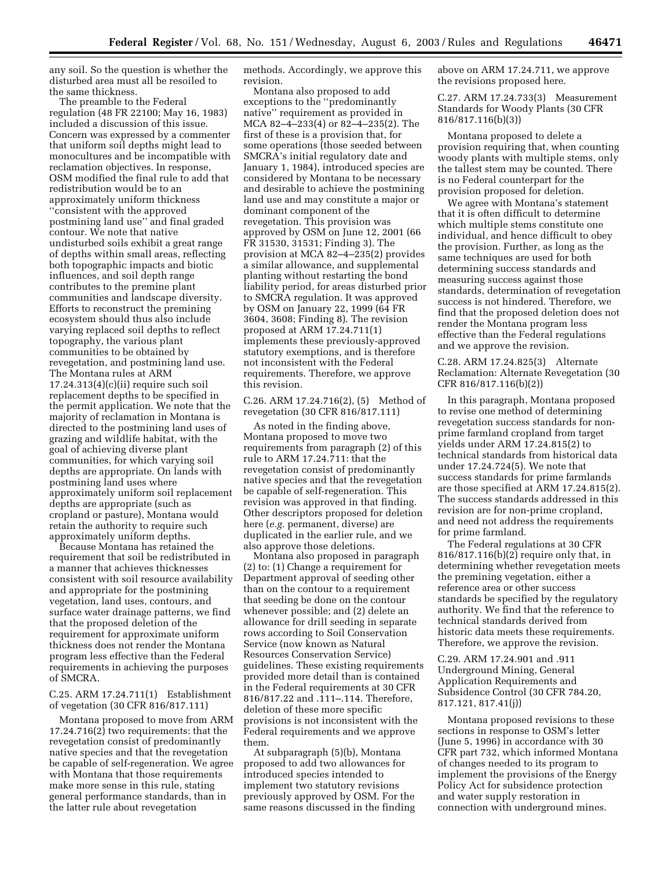any soil. So the question is whether the disturbed area must all be resoiled to the same thickness.

The preamble to the Federal regulation (48 FR 22100; May 16, 1983) included a discussion of this issue. Concern was expressed by a commenter that uniform soil depths might lead to monocultures and be incompatible with reclamation objectives. In response, OSM modified the final rule to add that redistribution would be to an approximately uniform thickness ''consistent with the approved postmining land use'' and final graded contour. We note that native undisturbed soils exhibit a great range of depths within small areas, reflecting both topographic impacts and biotic influences, and soil depth range contributes to the premine plant communities and landscape diversity. Efforts to reconstruct the premining ecosystem should thus also include varying replaced soil depths to reflect topography, the various plant communities to be obtained by revegetation, and postmining land use. The Montana rules at ARM  $17.24.313(4)(c)(ii)$  require such soil replacement depths to be specified in the permit application. We note that the majority of reclamation in Montana is directed to the postmining land uses of grazing and wildlife habitat, with the goal of achieving diverse plant communities, for which varying soil depths are appropriate. On lands with postmining land uses where approximately uniform soil replacement depths are appropriate (such as cropland or pasture), Montana would retain the authority to require such approximately uniform depths.

Because Montana has retained the requirement that soil be redistributed in a manner that achieves thicknesses consistent with soil resource availability and appropriate for the postmining vegetation, land uses, contours, and surface water drainage patterns, we find that the proposed deletion of the requirement for approximate uniform thickness does not render the Montana program less effective than the Federal requirements in achieving the purposes of SMCRA.

#### C.25. ARM 17.24.711(1) Establishment of vegetation (30 CFR 816/817.111)

Montana proposed to move from ARM 17.24.716(2) two requirements: that the revegetation consist of predominantly native species and that the revegetation be capable of self-regeneration. We agree with Montana that those requirements make more sense in this rule, stating general performance standards, than in the latter rule about revegetation

methods. Accordingly, we approve this revision.

Montana also proposed to add exceptions to the ''predominantly native'' requirement as provided in MCA 82–4–233(4) or 82–4–235(2). The first of these is a provision that, for some operations (those seeded between SMCRA's initial regulatory date and January 1, 1984), introduced species are considered by Montana to be necessary and desirable to achieve the postmining land use and may constitute a major or dominant component of the revegetation. This provision was approved by OSM on June 12, 2001 (66 FR 31530, 31531; Finding 3). The provision at MCA 82–4–235(2) provides a similar allowance, and supplemental planting without restarting the bond liability period, for areas disturbed prior to SMCRA regulation. It was approved by OSM on January 22, 1999 (64 FR 3604, 3608; Finding 8). The revision proposed at ARM 17.24.711(1) implements these previously-approved statutory exemptions, and is therefore not inconsistent with the Federal requirements. Therefore, we approve this revision.

C.26. ARM 17.24.716(2), (5) Method of revegetation (30 CFR 816/817.111)

As noted in the finding above, Montana proposed to move two requirements from paragraph (2) of this rule to ARM 17.24.711: that the revegetation consist of predominantly native species and that the revegetation be capable of self-regeneration. This revision was approved in that finding. Other descriptors proposed for deletion here (*e.g.* permanent, diverse) are duplicated in the earlier rule, and we also approve those deletions.

Montana also proposed in paragraph (2) to: (1) Change a requirement for Department approval of seeding other than on the contour to a requirement that seeding be done on the contour whenever possible; and (2) delete an allowance for drill seeding in separate rows according to Soil Conservation Service (now known as Natural Resources Conservation Service) guidelines. These existing requirements provided more detail than is contained in the Federal requirements at 30 CFR 816/817.22 and .111–.114. Therefore, deletion of these more specific provisions is not inconsistent with the Federal requirements and we approve them.

At subparagraph (5)(b), Montana proposed to add two allowances for introduced species intended to implement two statutory revisions previously approved by OSM. For the same reasons discussed in the finding above on ARM 17.24.711, we approve the revisions proposed here.

C.27. ARM 17.24.733(3) Measurement Standards for Woody Plants (30 CFR 816/817.116(b)(3))

Montana proposed to delete a provision requiring that, when counting woody plants with multiple stems, only the tallest stem may be counted. There is no Federal counterpart for the provision proposed for deletion.

We agree with Montana's statement that it is often difficult to determine which multiple stems constitute one individual, and hence difficult to obey the provision. Further, as long as the same techniques are used for both determining success standards and measuring success against those standards, determination of revegetation success is not hindered. Therefore, we find that the proposed deletion does not render the Montana program less effective than the Federal regulations and we approve the revision.

C.28. ARM 17.24.825(3) Alternate Reclamation: Alternate Revegetation (30 CFR 816/817.116(b)(2))

In this paragraph, Montana proposed to revise one method of determining revegetation success standards for nonprime farmland cropland from target yields under ARM 17.24.815(2) to technical standards from historical data under 17.24.724(5). We note that success standards for prime farmlands are those specified at ARM 17.24.815(2). The success standards addressed in this revision are for non-prime cropland, and need not address the requirements for prime farmland.

The Federal regulations at 30 CFR 816/817.116(b)(2) require only that, in determining whether revegetation meets the premining vegetation, either a reference area or other success standards be specified by the regulatory authority. We find that the reference to technical standards derived from historic data meets these requirements. Therefore, we approve the revision.

C.29. ARM 17.24.901 and .911 Underground Mining, General Application Requirements and Subsidence Control (30 CFR 784.20, 817.121, 817.41(j))

Montana proposed revisions to these sections in response to OSM's letter (June 5, 1996) in accordance with 30 CFR part 732, which informed Montana of changes needed to its program to implement the provisions of the Energy Policy Act for subsidence protection and water supply restoration in connection with underground mines.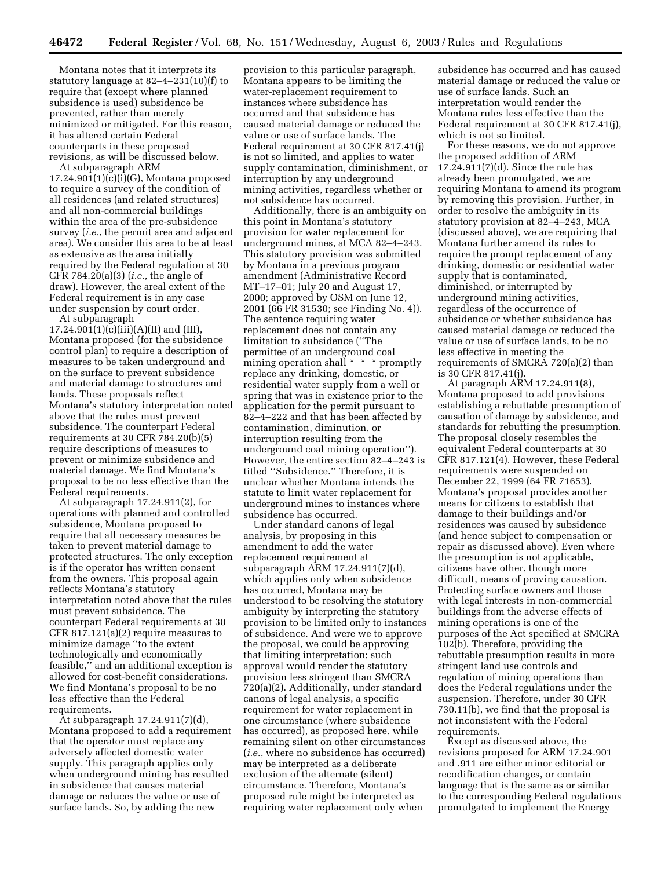Montana notes that it interprets its statutory language at 82–4–231(10)(f) to require that (except where planned subsidence is used) subsidence be prevented, rather than merely minimized or mitigated. For this reason, it has altered certain Federal counterparts in these proposed revisions, as will be discussed below.

At subparagraph ARM  $17.24.901(1)(c)(i)(G)$ , Montana proposed to require a survey of the condition of all residences (and related structures) and all non-commercial buildings within the area of the pre-subsidence survey (*i.e.*, the permit area and adjacent area). We consider this area to be at least as extensive as the area initially required by the Federal regulation at 30 CFR 784.20(a)(3) (*i.e.*, the angle of draw). However, the areal extent of the Federal requirement is in any case under suspension by court order.

At subparagraph  $17.24.901(1)(c)(iii)(A)(II)$  and (III), Montana proposed (for the subsidence control plan) to require a description of measures to be taken underground and on the surface to prevent subsidence and material damage to structures and lands. These proposals reflect Montana's statutory interpretation noted above that the rules must prevent subsidence. The counterpart Federal requirements at 30 CFR  $\bar{7}84.20(b)(5)$ require descriptions of measures to prevent or minimize subsidence and material damage. We find Montana's proposal to be no less effective than the Federal requirements.

At subparagraph 17.24.911(2), for operations with planned and controlled subsidence, Montana proposed to require that all necessary measures be taken to prevent material damage to protected structures. The only exception is if the operator has written consent from the owners. This proposal again reflects Montana's statutory interpretation noted above that the rules must prevent subsidence. The counterpart Federal requirements at 30 CFR 817.121(a)(2) require measures to minimize damage ''to the extent technologically and economically feasible,'' and an additional exception is allowed for cost-benefit considerations. We find Montana's proposal to be no less effective than the Federal requirements.

At subparagraph 17.24.911(7)(d), Montana proposed to add a requirement that the operator must replace any adversely affected domestic water supply. This paragraph applies only when underground mining has resulted in subsidence that causes material damage or reduces the value or use of surface lands. So, by adding the new

provision to this particular paragraph, Montana appears to be limiting the water-replacement requirement to instances where subsidence has occurred and that subsidence has caused material damage or reduced the value or use of surface lands. The Federal requirement at 30 CFR 817.41(j) is not so limited, and applies to water supply contamination, diminishment, or interruption by any underground mining activities, regardless whether or not subsidence has occurred.

Additionally, there is an ambiguity on this point in Montana's statutory provision for water replacement for underground mines, at MCA 82–4–243. This statutory provision was submitted by Montana in a previous program amendment (Administrative Record MT–17–01; July 20 and August 17, 2000; approved by OSM on June 12, 2001 (66 FR 31530; see Finding No. 4)). The sentence requiring water replacement does not contain any limitation to subsidence (''The permittee of an underground coal mining operation shall \* \* \* promptly replace any drinking, domestic, or residential water supply from a well or spring that was in existence prior to the application for the permit pursuant to 82–4–222 and that has been affected by contamination, diminution, or interruption resulting from the underground coal mining operation''). However, the entire section 82–4–243 is titled ''Subsidence.'' Therefore, it is unclear whether Montana intends the statute to limit water replacement for underground mines to instances where subsidence has occurred.

Under standard canons of legal analysis, by proposing in this amendment to add the water replacement requirement at subparagraph ARM 17.24.911(7)(d), which applies only when subsidence has occurred, Montana may be understood to be resolving the statutory ambiguity by interpreting the statutory provision to be limited only to instances of subsidence. And were we to approve the proposal, we could be approving that limiting interpretation; such approval would render the statutory provision less stringent than SMCRA 720(a)(2). Additionally, under standard canons of legal analysis, a specific requirement for water replacement in one circumstance (where subsidence has occurred), as proposed here, while remaining silent on other circumstances (*i.e.*, where no subsidence has occurred) may be interpreted as a deliberate exclusion of the alternate (silent) circumstance. Therefore, Montana's proposed rule might be interpreted as requiring water replacement only when

subsidence has occurred and has caused material damage or reduced the value or use of surface lands. Such an interpretation would render the Montana rules less effective than the Federal requirement at 30 CFR 817.41(j), which is not so limited.

For these reasons, we do not approve the proposed addition of ARM 17.24.911(7)(d). Since the rule has already been promulgated, we are requiring Montana to amend its program by removing this provision. Further, in order to resolve the ambiguity in its statutory provision at 82–4–243, MCA (discussed above), we are requiring that Montana further amend its rules to require the prompt replacement of any drinking, domestic or residential water supply that is contaminated, diminished, or interrupted by underground mining activities, regardless of the occurrence of subsidence or whether subsidence has caused material damage or reduced the value or use of surface lands, to be no less effective in meeting the requirements of SMCRA 720(a)(2) than is 30 CFR 817.41(j).

At paragraph ARM 17.24.911(8), Montana proposed to add provisions establishing a rebuttable presumption of causation of damage by subsidence, and standards for rebutting the presumption. The proposal closely resembles the equivalent Federal counterparts at 30 CFR 817.121(4). However, these Federal requirements were suspended on December 22, 1999 (64 FR 71653). Montana's proposal provides another means for citizens to establish that damage to their buildings and/or residences was caused by subsidence (and hence subject to compensation or repair as discussed above). Even where the presumption is not applicable, citizens have other, though more difficult, means of proving causation. Protecting surface owners and those with legal interests in non-commercial buildings from the adverse effects of mining operations is one of the purposes of the Act specified at SMCRA 102(b). Therefore, providing the rebuttable presumption results in more stringent land use controls and regulation of mining operations than does the Federal regulations under the suspension. Therefore, under 30 CFR 730.11(b), we find that the proposal is not inconsistent with the Federal requirements.

Except as discussed above, the revisions proposed for ARM 17.24.901 and .911 are either minor editorial or recodification changes, or contain language that is the same as or similar to the corresponding Federal regulations promulgated to implement the Energy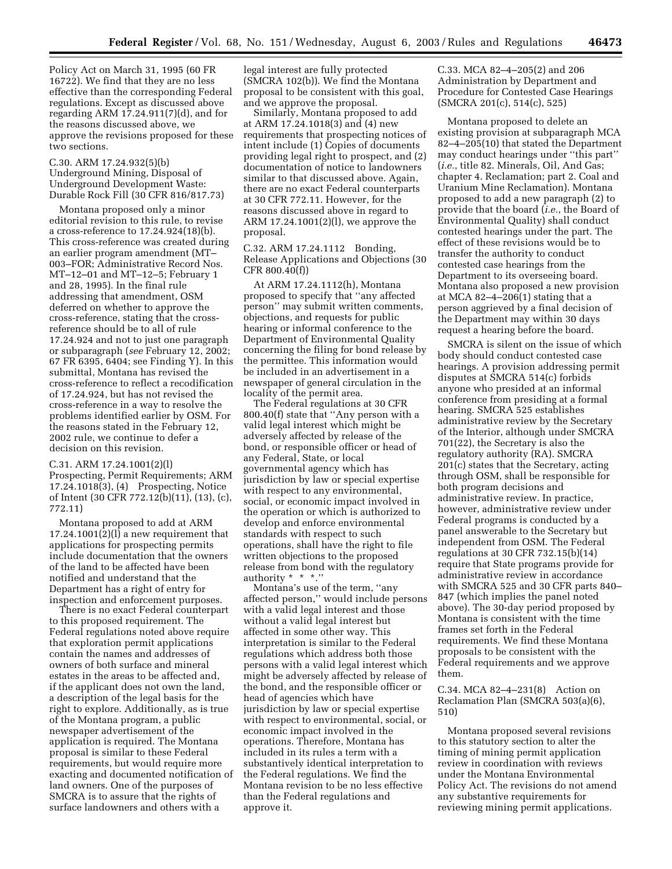Policy Act on March 31, 1995 (60 FR 16722). We find that they are no less effective than the corresponding Federal regulations. Except as discussed above regarding ARM 17.24.911(7)(d), and for the reasons discussed above, we approve the revisions proposed for these two sections.

C.30. ARM 17.24.932(5)(b) Underground Mining, Disposal of Underground Development Waste: Durable Rock Fill (30 CFR 816/817.73)

Montana proposed only a minor editorial revision to this rule, to revise a cross-reference to 17.24.924(18)(b). This cross-reference was created during an earlier program amendment (MT– 003–FOR; Administrative Record Nos. MT–12–01 and MT–12–5; February 1 and 28, 1995). In the final rule addressing that amendment, OSM deferred on whether to approve the cross-reference, stating that the crossreference should be to all of rule 17.24.924 and not to just one paragraph or subparagraph (*see* February 12, 2002; 67 FR 6395, 6404; see Finding Y). In this submittal, Montana has revised the cross-reference to reflect a recodification of 17.24.924, but has not revised the cross-reference in a way to resolve the problems identified earlier by OSM. For the reasons stated in the February 12, 2002 rule, we continue to defer a decision on this revision.

C.31. ARM 17.24.1001(2)(l) Prospecting, Permit Requirements; ARM 17.24.1018(3), (4) Prospecting, Notice of Intent (30 CFR 772.12(b)(11), (13), (c), 772.11)

Montana proposed to add at ARM  $17.24.1001(2)$  a new requirement that applications for prospecting permits include documentation that the owners of the land to be affected have been notified and understand that the Department has a right of entry for inspection and enforcement purposes.

There is no exact Federal counterpart to this proposed requirement. The Federal regulations noted above require that exploration permit applications contain the names and addresses of owners of both surface and mineral estates in the areas to be affected and, if the applicant does not own the land, a description of the legal basis for the right to explore. Additionally, as is true of the Montana program, a public newspaper advertisement of the application is required. The Montana proposal is similar to these Federal requirements, but would require more exacting and documented notification of land owners. One of the purposes of SMCRA is to assure that the rights of surface landowners and others with a

legal interest are fully protected (SMCRA 102(b)). We find the Montana proposal to be consistent with this goal, and we approve the proposal.

Similarly, Montana proposed to add at ARM 17.24.1018(3) and (4) new requirements that prospecting notices of intent include (1) Copies of documents providing legal right to prospect, and (2) documentation of notice to landowners similar to that discussed above. Again, there are no exact Federal counterparts at 30 CFR 772.11. However, for the reasons discussed above in regard to ARM 17.24.1001(2)(l), we approve the proposal.

C.32. ARM 17.24.1112 Bonding, Release Applications and Objections (30 CFR 800.40(f))

At ARM 17.24.1112(h), Montana proposed to specify that ''any affected person'' may submit written comments, objections, and requests for public hearing or informal conference to the Department of Environmental Quality concerning the filing for bond release by the permittee. This information would be included in an advertisement in a newspaper of general circulation in the locality of the permit area.

The Federal regulations at 30 CFR 800.40(f) state that ''Any person with a valid legal interest which might be adversely affected by release of the bond, or responsible officer or head of any Federal, State, or local governmental agency which has jurisdiction by law or special expertise with respect to any environmental, social, or economic impact involved in the operation or which is authorized to develop and enforce environmental standards with respect to such operations, shall have the right to file written objections to the proposed release from bond with the regulatory authority \* \* \*.''

Montana's use of the term, ''any affected person,'' would include persons with a valid legal interest and those without a valid legal interest but affected in some other way. This interpretation is similar to the Federal regulations which address both those persons with a valid legal interest which might be adversely affected by release of the bond, and the responsible officer or head of agencies which have jurisdiction by law or special expertise with respect to environmental, social, or economic impact involved in the operations. Therefore, Montana has included in its rules a term with a substantively identical interpretation to the Federal regulations. We find the Montana revision to be no less effective than the Federal regulations and approve it.

C.33. MCA 82–4–205(2) and 206 Administration by Department and Procedure for Contested Case Hearings (SMCRA 201(c), 514(c), 525)

Montana proposed to delete an existing provision at subparagraph MCA 82–4–205(10) that stated the Department may conduct hearings under ''this part'' (*i.e.*, title 82. Minerals, Oil, And Gas; chapter 4. Reclamation; part 2. Coal and Uranium Mine Reclamation). Montana proposed to add a new paragraph (2) to provide that the board (*i.e.*, the Board of Environmental Quality) shall conduct contested hearings under the part. The effect of these revisions would be to transfer the authority to conduct contested case hearings from the Department to its overseeing board. Montana also proposed a new provision at MCA 82–4–206(1) stating that a person aggrieved by a final decision of the Department may within 30 days request a hearing before the board.

SMCRA is silent on the issue of which body should conduct contested case hearings. A provision addressing permit disputes at SMCRA 514(c) forbids anyone who presided at an informal conference from presiding at a formal hearing. SMCRA 525 establishes administrative review by the Secretary of the Interior, although under SMCRA 701(22), the Secretary is also the regulatory authority (RA). SMCRA 201(c) states that the Secretary, acting through OSM, shall be responsible for both program decisions and administrative review. In practice, however, administrative review under Federal programs is conducted by a panel answerable to the Secretary but independent from OSM. The Federal regulations at 30 CFR 732.15(b)(14) require that State programs provide for administrative review in accordance with SMCRA 525 and 30 CFR parts 840– 847 (which implies the panel noted above). The 30-day period proposed by Montana is consistent with the time frames set forth in the Federal requirements. We find these Montana proposals to be consistent with the Federal requirements and we approve them.

C.34. MCA 82–4–231(8) Action on Reclamation Plan (SMCRA 503(a)(6), 510)

Montana proposed several revisions to this statutory section to alter the timing of mining permit application review in coordination with reviews under the Montana Environmental Policy Act. The revisions do not amend any substantive requirements for reviewing mining permit applications.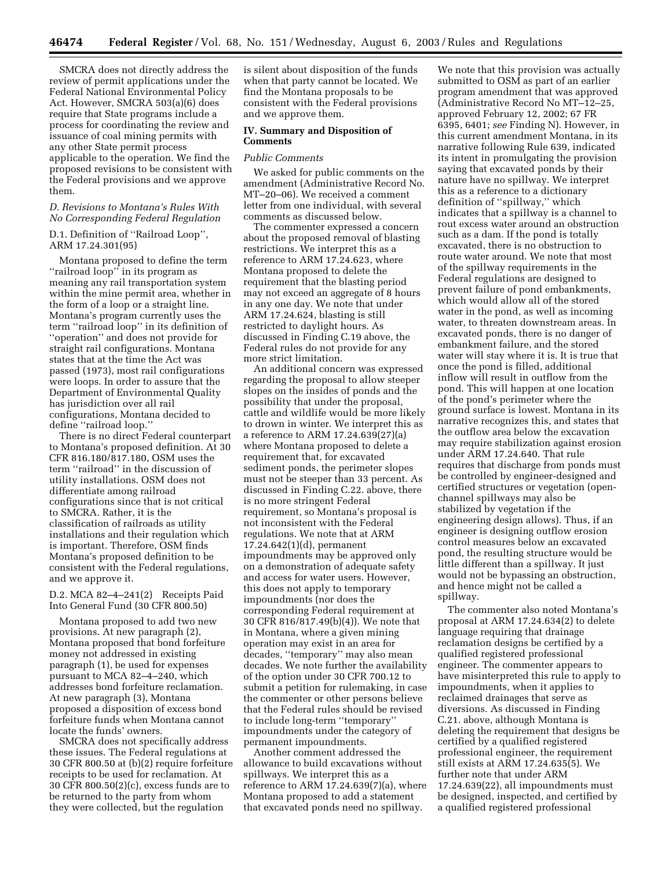SMCRA does not directly address the review of permit applications under the Federal National Environmental Policy Act. However, SMCRA 503(a)(6) does require that State programs include a process for coordinating the review and issuance of coal mining permits with any other State permit process applicable to the operation. We find the proposed revisions to be consistent with the Federal provisions and we approve them.

### *D. Revisions to Montana's Rules With No Corresponding Federal Regulation*

### D.1. Definition of ''Railroad Loop'', ARM 17.24.301(95)

Montana proposed to define the term ''railroad loop'' in its program as meaning any rail transportation system within the mine permit area, whether in the form of a loop or a straight line. Montana's program currently uses the term ''railroad loop'' in its definition of ''operation'' and does not provide for straight rail configurations. Montana states that at the time the Act was passed (1973), most rail configurations were loops. In order to assure that the Department of Environmental Quality has jurisdiction over all rail configurations, Montana decided to define ''railroad loop.''

There is no direct Federal counterpart to Montana's proposed definition. At 30 CFR 816.180/817.180, OSM uses the term ''railroad'' in the discussion of utility installations. OSM does not differentiate among railroad configurations since that is not critical to SMCRA. Rather, it is the classification of railroads as utility installations and their regulation which is important. Therefore, OSM finds Montana's proposed definition to be consistent with the Federal regulations, and we approve it.

### D.2. MCA 82–4–241(2) Receipts Paid Into General Fund (30 CFR 800.50)

Montana proposed to add two new provisions. At new paragraph (2), Montana proposed that bond forfeiture money not addressed in existing paragraph (1), be used for expenses pursuant to MCA 82–4–240, which addresses bond forfeiture reclamation. At new paragraph (3), Montana proposed a disposition of excess bond forfeiture funds when Montana cannot locate the funds' owners.

SMCRA does not specifically address these issues. The Federal regulations at 30 CFR 800.50 at (b)(2) require forfeiture receipts to be used for reclamation. At 30 CFR 800.50(2)(c), excess funds are to be returned to the party from whom they were collected, but the regulation

is silent about disposition of the funds when that party cannot be located. We find the Montana proposals to be consistent with the Federal provisions and we approve them.

#### **IV. Summary and Disposition of Comments**

#### *Public Comments*

We asked for public comments on the amendment (Administrative Record No. MT–20–06). We received a comment letter from one individual, with several comments as discussed below.

The commenter expressed a concern about the proposed removal of blasting restrictions. We interpret this as a reference to ARM 17.24.623, where Montana proposed to delete the requirement that the blasting period may not exceed an aggregate of 8 hours in any one day. We note that under ARM 17.24.624, blasting is still restricted to daylight hours. As discussed in Finding C.19 above, the Federal rules do not provide for any more strict limitation.

An additional concern was expressed regarding the proposal to allow steeper slopes on the insides of ponds and the possibility that under the proposal, cattle and wildlife would be more likely to drown in winter. We interpret this as a reference to ARM 17.24.639(27)(a) where Montana proposed to delete a requirement that, for excavated sediment ponds, the perimeter slopes must not be steeper than 33 percent. As discussed in Finding C.22. above, there is no more stringent Federal requirement, so Montana's proposal is not inconsistent with the Federal regulations. We note that at ARM 17.24.642(1)(d), permanent impoundments may be approved only on a demonstration of adequate safety and access for water users. However, this does not apply to temporary impoundments (nor does the corresponding Federal requirement at 30 CFR 816/817.49(b)(4)). We note that in Montana, where a given mining operation may exist in an area for decades, ''temporary'' may also mean decades. We note further the availability of the option under 30 CFR 700.12 to submit a petition for rulemaking, in case the commenter or other persons believe that the Federal rules should be revised to include long-term ''temporary'' impoundments under the category of permanent impoundments.

Another comment addressed the allowance to build excavations without spillways. We interpret this as a reference to ARM 17.24.639(7)(a), where Montana proposed to add a statement that excavated ponds need no spillway.

We note that this provision was actually submitted to OSM as part of an earlier program amendment that was approved (Administrative Record No MT–12–25, approved February 12, 2002; 67 FR 6395, 6401; *see* Finding N). However, in this current amendment Montana, in its narrative following Rule 639, indicated its intent in promulgating the provision saying that excavated ponds by their nature have no spillway. We interpret this as a reference to a dictionary definition of ''spillway,'' which indicates that a spillway is a channel to rout excess water around an obstruction such as a dam. If the pond is totally excavated, there is no obstruction to route water around. We note that most of the spillway requirements in the Federal regulations are designed to prevent failure of pond embankments, which would allow all of the stored water in the pond, as well as incoming water, to threaten downstream areas. In excavated ponds, there is no danger of embankment failure, and the stored water will stay where it is. It is true that once the pond is filled, additional inflow will result in outflow from the pond. This will happen at one location of the pond's perimeter where the ground surface is lowest. Montana in its narrative recognizes this, and states that the outflow area below the excavation may require stabilization against erosion under ARM 17.24.640. That rule requires that discharge from ponds must be controlled by engineer-designed and certified structures or vegetation (openchannel spillways may also be stabilized by vegetation if the engineering design allows). Thus, if an engineer is designing outflow erosion control measures below an excavated pond, the resulting structure would be little different than a spillway. It just would not be bypassing an obstruction, and hence might not be called a spillway.

The commenter also noted Montana's proposal at ARM 17.24.634(2) to delete language requiring that drainage reclamation designs be certified by a qualified registered professional engineer. The commenter appears to have misinterpreted this rule to apply to impoundments, when it applies to reclaimed drainages that serve as diversions. As discussed in Finding C.21. above, although Montana is deleting the requirement that designs be certified by a qualified registered professional engineer, the requirement still exists at ARM 17.24.635(5). We further note that under ARM 17.24.639(22), all impoundments must be designed, inspected, and certified by a qualified registered professional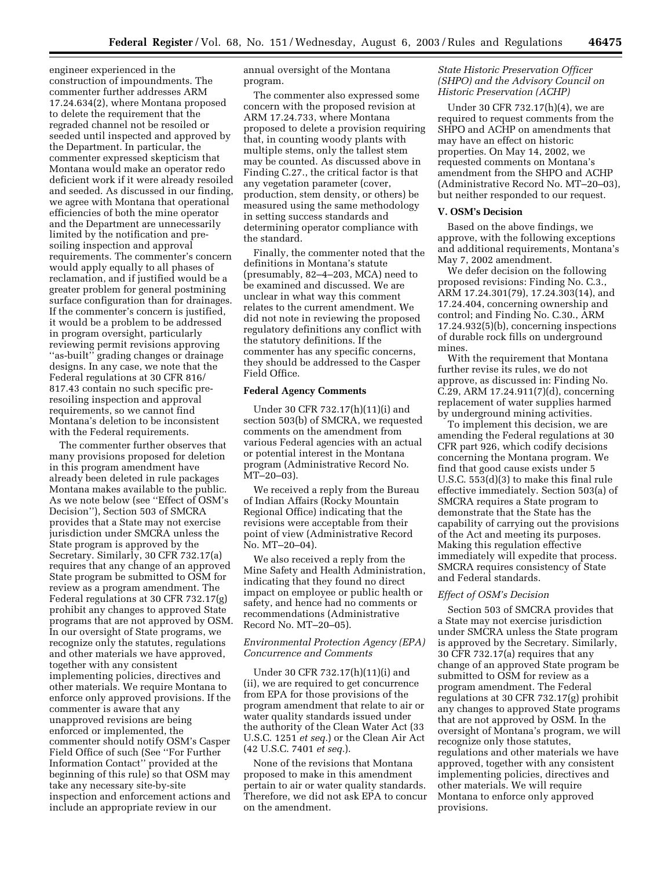engineer experienced in the construction of impoundments. The commenter further addresses ARM 17.24.634(2), where Montana proposed to delete the requirement that the regraded channel not be resoiled or seeded until inspected and approved by the Department. In particular, the commenter expressed skepticism that Montana would make an operator redo deficient work if it were already resoiled and seeded. As discussed in our finding, we agree with Montana that operational efficiencies of both the mine operator and the Department are unnecessarily limited by the notification and presoiling inspection and approval requirements. The commenter's concern would apply equally to all phases of reclamation, and if justified would be a greater problem for general postmining surface configuration than for drainages. If the commenter's concern is justified, it would be a problem to be addressed in program oversight, particularly reviewing permit revisions approving ''as-built'' grading changes or drainage designs. In any case, we note that the Federal regulations at 30 CFR 816/ 817.43 contain no such specific preresoiling inspection and approval requirements, so we cannot find Montana's deletion to be inconsistent with the Federal requirements.

The commenter further observes that many provisions proposed for deletion in this program amendment have already been deleted in rule packages Montana makes available to the public. As we note below (see ''Effect of OSM's Decision''), Section 503 of SMCRA provides that a State may not exercise jurisdiction under SMCRA unless the State program is approved by the Secretary. Similarly, 30 CFR 732.17(a) requires that any change of an approved State program be submitted to OSM for review as a program amendment. The Federal regulations at 30 CFR 732.17(g) prohibit any changes to approved State programs that are not approved by OSM. In our oversight of State programs, we recognize only the statutes, regulations and other materials we have approved, together with any consistent implementing policies, directives and other materials. We require Montana to enforce only approved provisions. If the commenter is aware that any unapproved revisions are being enforced or implemented, the commenter should notify OSM's Casper Field Office of such (See ''For Further Information Contact'' provided at the beginning of this rule) so that OSM may take any necessary site-by-site inspection and enforcement actions and include an appropriate review in our

annual oversight of the Montana program.

The commenter also expressed some concern with the proposed revision at ARM 17.24.733, where Montana proposed to delete a provision requiring that, in counting woody plants with multiple stems, only the tallest stem may be counted. As discussed above in Finding C.27., the critical factor is that any vegetation parameter (cover, production, stem density, or others) be measured using the same methodology in setting success standards and determining operator compliance with the standard.

Finally, the commenter noted that the definitions in Montana's statute (presumably, 82–4–203, MCA) need to be examined and discussed. We are unclear in what way this comment relates to the current amendment. We did not note in reviewing the proposed regulatory definitions any conflict with the statutory definitions. If the commenter has any specific concerns, they should be addressed to the Casper Field Office.

#### **Federal Agency Comments**

Under 30 CFR 732.17(h)(11)(i) and section 503(b) of SMCRA, we requested comments on the amendment from various Federal agencies with an actual or potential interest in the Montana program (Administrative Record No. MT–20–03).

We received a reply from the Bureau of Indian Affairs (Rocky Mountain Regional Office) indicating that the revisions were acceptable from their point of view (Administrative Record No. MT–20–04).

We also received a reply from the Mine Safety and Health Administration, indicating that they found no direct impact on employee or public health or safety, and hence had no comments or recommendations (Administrative Record No. MT–20–05).

#### *Environmental Protection Agency (EPA) Concurrence and Comments*

Under 30 CFR 732.17(h)(11)(i) and (ii), we are required to get concurrence from EPA for those provisions of the program amendment that relate to air or water quality standards issued under the authority of the Clean Water Act (33 U.S.C. 1251 *et seq.*) or the Clean Air Act (42 U.S.C. 7401 *et seq.*).

None of the revisions that Montana proposed to make in this amendment pertain to air or water quality standards. Therefore, we did not ask EPA to concur on the amendment.

### *State Historic Preservation Officer (SHPO) and the Advisory Council on Historic Preservation (ACHP)*

Under 30 CFR 732.17(h)(4), we are required to request comments from the SHPO and ACHP on amendments that may have an effect on historic properties. On May 14, 2002, we requested comments on Montana's amendment from the SHPO and ACHP (Administrative Record No. MT–20–03), but neither responded to our request.

#### **V. OSM's Decision**

Based on the above findings, we approve, with the following exceptions and additional requirements, Montana's May 7, 2002 amendment.

We defer decision on the following proposed revisions: Finding No. C.3., ARM 17.24.301(79), 17.24.303(14), and 17.24.404, concerning ownership and control; and Finding No. C.30., ARM 17.24.932(5)(b), concerning inspections of durable rock fills on underground mines.

With the requirement that Montana further revise its rules, we do not approve, as discussed in: Finding No. C.29, ARM 17.24.911(7)(d), concerning replacement of water supplies harmed by underground mining activities.

To implement this decision, we are amending the Federal regulations at 30 CFR part 926, which codify decisions concerning the Montana program. We find that good cause exists under 5 U.S.C. 553(d)(3) to make this final rule effective immediately. Section 503(a) of SMCRA requires a State program to demonstrate that the State has the capability of carrying out the provisions of the Act and meeting its purposes. Making this regulation effective immediately will expedite that process. SMCRA requires consistency of State and Federal standards.

#### *Effect of OSM's Decision*

Section 503 of SMCRA provides that a State may not exercise jurisdiction under SMCRA unless the State program is approved by the Secretary. Similarly, 30 CFR 732.17(a) requires that any change of an approved State program be submitted to OSM for review as a program amendment. The Federal regulations at 30 CFR 732.17(g) prohibit any changes to approved State programs that are not approved by OSM. In the oversight of Montana's program, we will recognize only those statutes, regulations and other materials we have approved, together with any consistent implementing policies, directives and other materials. We will require Montana to enforce only approved provisions.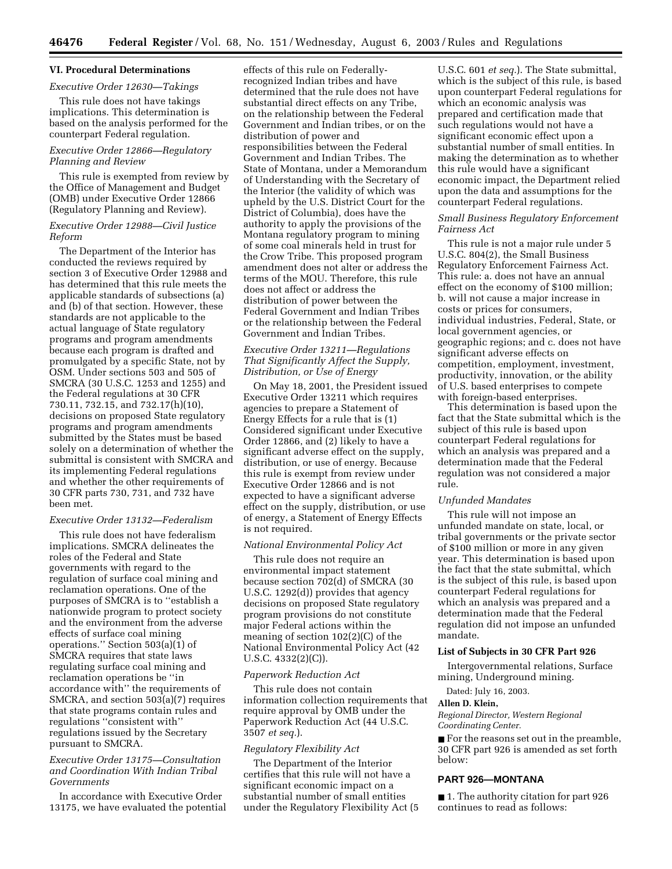# **VI. Procedural Determinations**

### *Executive Order 12630—Takings*

This rule does not have takings implications. This determination is based on the analysis performed for the counterpart Federal regulation.

#### *Executive Order 12866—Regulatory Planning and Review*

This rule is exempted from review by the Office of Management and Budget (OMB) under Executive Order 12866 (Regulatory Planning and Review).

#### *Executive Order 12988—Civil Justice Reform*

The Department of the Interior has conducted the reviews required by section 3 of Executive Order 12988 and has determined that this rule meets the applicable standards of subsections (a) and (b) of that section. However, these standards are not applicable to the actual language of State regulatory programs and program amendments because each program is drafted and promulgated by a specific State, not by OSM. Under sections 503 and 505 of SMCRA (30 U.S.C. 1253 and 1255) and the Federal regulations at 30 CFR 730.11, 732.15, and 732.17(h)(10), decisions on proposed State regulatory programs and program amendments submitted by the States must be based solely on a determination of whether the submittal is consistent with SMCRA and its implementing Federal regulations and whether the other requirements of 30 CFR parts 730, 731, and 732 have been met.

#### *Executive Order 13132—Federalism*

This rule does not have federalism implications. SMCRA delineates the roles of the Federal and State governments with regard to the regulation of surface coal mining and reclamation operations. One of the purposes of SMCRA is to ''establish a nationwide program to protect society and the environment from the adverse effects of surface coal mining operations.'' Section 503(a)(1) of SMCRA requires that state laws regulating surface coal mining and reclamation operations be ''in accordance with'' the requirements of SMCRA, and section 503(a)(7) requires that state programs contain rules and regulations ''consistent with'' regulations issued by the Secretary pursuant to SMCRA.

# *Executive Order 13175—Consultation and Coordination With Indian Tribal Governments*

In accordance with Executive Order 13175, we have evaluated the potential

effects of this rule on Federallyrecognized Indian tribes and have determined that the rule does not have substantial direct effects on any Tribe, on the relationship between the Federal Government and Indian tribes, or on the distribution of power and responsibilities between the Federal Government and Indian Tribes. The State of Montana, under a Memorandum of Understanding with the Secretary of the Interior (the validity of which was upheld by the U.S. District Court for the District of Columbia), does have the authority to apply the provisions of the Montana regulatory program to mining of some coal minerals held in trust for the Crow Tribe. This proposed program amendment does not alter or address the terms of the MOU. Therefore, this rule does not affect or address the distribution of power between the Federal Government and Indian Tribes or the relationship between the Federal Government and Indian Tribes.

### *Executive Order 13211—Regulations That Significantly Affect the Supply, Distribution, or Use of Energy*

On May 18, 2001, the President issued Executive Order 13211 which requires agencies to prepare a Statement of Energy Effects for a rule that is (1) Considered significant under Executive Order 12866, and (2) likely to have a significant adverse effect on the supply, distribution, or use of energy. Because this rule is exempt from review under Executive Order 12866 and is not expected to have a significant adverse effect on the supply, distribution, or use of energy, a Statement of Energy Effects is not required.

#### *National Environmental Policy Act*

This rule does not require an environmental impact statement because section 702(d) of SMCRA (30 U.S.C. 1292(d)) provides that agency decisions on proposed State regulatory program provisions do not constitute major Federal actions within the meaning of section 102(2)(C) of the National Environmental Policy Act (42 U.S.C.  $4332(2)(C)$ ).

#### *Paperwork Reduction Act*

This rule does not contain information collection requirements that require approval by OMB under the Paperwork Reduction Act (44 U.S.C. 3507 *et seq.*).

#### *Regulatory Flexibility Act*

The Department of the Interior certifies that this rule will not have a significant economic impact on a substantial number of small entities under the Regulatory Flexibility Act (5

U.S.C. 601 *et seq.*). The State submittal, which is the subject of this rule, is based upon counterpart Federal regulations for which an economic analysis was prepared and certification made that such regulations would not have a significant economic effect upon a substantial number of small entities. In making the determination as to whether this rule would have a significant economic impact, the Department relied upon the data and assumptions for the counterpart Federal regulations.

#### *Small Business Regulatory Enforcement Fairness Act*

This rule is not a major rule under 5 U.S.C. 804(2), the Small Business Regulatory Enforcement Fairness Act. This rule: a. does not have an annual effect on the economy of \$100 million; b. will not cause a major increase in costs or prices for consumers, individual industries, Federal, State, or local government agencies, or geographic regions; and c. does not have significant adverse effects on competition, employment, investment, productivity, innovation, or the ability of U.S. based enterprises to compete with foreign-based enterprises.

This determination is based upon the fact that the State submittal which is the subject of this rule is based upon counterpart Federal regulations for which an analysis was prepared and a determination made that the Federal regulation was not considered a major rule.

#### *Unfunded Mandates*

This rule will not impose an unfunded mandate on state, local, or tribal governments or the private sector of \$100 million or more in any given year. This determination is based upon the fact that the state submittal, which is the subject of this rule, is based upon counterpart Federal regulations for which an analysis was prepared and a determination made that the Federal regulation did not impose an unfunded mandate.

# **List of Subjects in 30 CFR Part 926**

Intergovernmental relations, Surface mining, Underground mining.

Dated: July 16, 2003.

#### **Allen D. Klein,**

*Regional Director, Western Regional Coordinating Center.*

■ For the reasons set out in the preamble, 30 CFR part 926 is amended as set forth below:

# **PART 926—MONTANA**

■ 1. The authority citation for part 926 continues to read as follows: